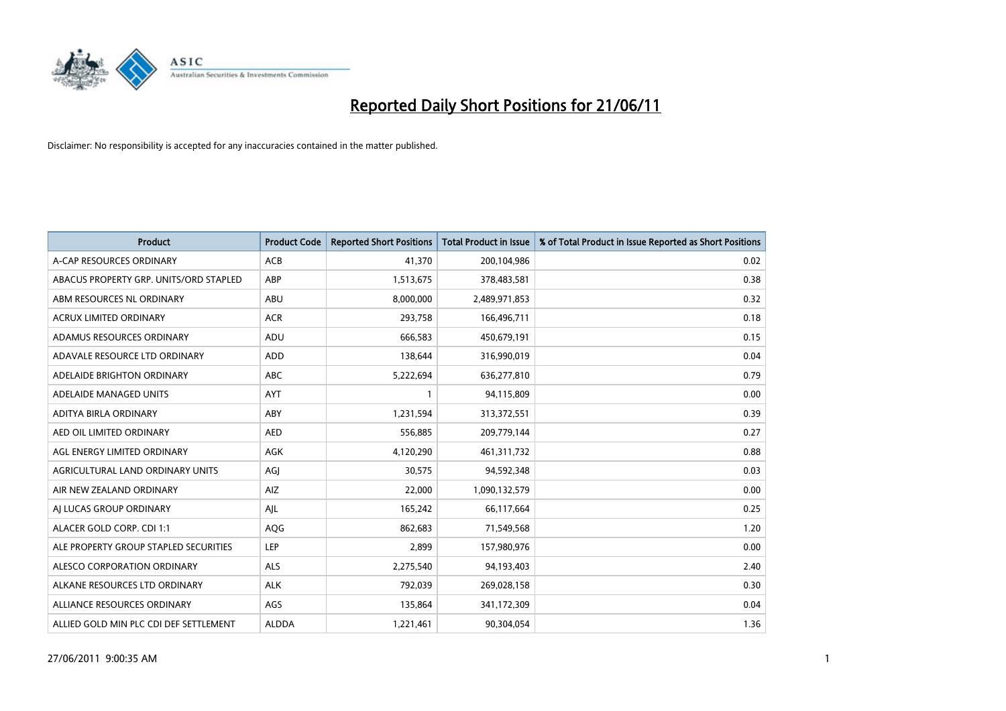

| <b>Product</b>                         | <b>Product Code</b> | <b>Reported Short Positions</b> | Total Product in Issue | % of Total Product in Issue Reported as Short Positions |
|----------------------------------------|---------------------|---------------------------------|------------------------|---------------------------------------------------------|
| A-CAP RESOURCES ORDINARY               | <b>ACB</b>          | 41,370                          | 200,104,986            | 0.02                                                    |
| ABACUS PROPERTY GRP. UNITS/ORD STAPLED | ABP                 | 1,513,675                       | 378,483,581            | 0.38                                                    |
| ABM RESOURCES NL ORDINARY              | ABU                 | 8,000,000                       | 2,489,971,853          | 0.32                                                    |
| ACRUX LIMITED ORDINARY                 | <b>ACR</b>          | 293,758                         | 166,496,711            | 0.18                                                    |
| ADAMUS RESOURCES ORDINARY              | ADU                 | 666,583                         | 450,679,191            | 0.15                                                    |
| ADAVALE RESOURCE LTD ORDINARY          | ADD                 | 138,644                         | 316,990,019            | 0.04                                                    |
| ADELAIDE BRIGHTON ORDINARY             | <b>ABC</b>          | 5,222,694                       | 636,277,810            | 0.79                                                    |
| ADELAIDE MANAGED UNITS                 | <b>AYT</b>          |                                 | 94,115,809             | 0.00                                                    |
| ADITYA BIRLA ORDINARY                  | ABY                 | 1,231,594                       | 313,372,551            | 0.39                                                    |
| AED OIL LIMITED ORDINARY               | <b>AED</b>          | 556,885                         | 209,779,144            | 0.27                                                    |
| AGL ENERGY LIMITED ORDINARY            | <b>AGK</b>          | 4,120,290                       | 461,311,732            | 0.88                                                    |
| AGRICULTURAL LAND ORDINARY UNITS       | AGJ                 | 30,575                          | 94,592,348             | 0.03                                                    |
| AIR NEW ZEALAND ORDINARY               | AIZ                 | 22,000                          | 1,090,132,579          | 0.00                                                    |
| AI LUCAS GROUP ORDINARY                | AJL                 | 165,242                         | 66,117,664             | 0.25                                                    |
| ALACER GOLD CORP. CDI 1:1              | AQG                 | 862,683                         | 71,549,568             | 1.20                                                    |
| ALE PROPERTY GROUP STAPLED SECURITIES  | <b>LEP</b>          | 2,899                           | 157,980,976            | 0.00                                                    |
| ALESCO CORPORATION ORDINARY            | <b>ALS</b>          | 2,275,540                       | 94,193,403             | 2.40                                                    |
| ALKANE RESOURCES LTD ORDINARY          | <b>ALK</b>          | 792,039                         | 269,028,158            | 0.30                                                    |
| ALLIANCE RESOURCES ORDINARY            | AGS                 | 135,864                         | 341,172,309            | 0.04                                                    |
| ALLIED GOLD MIN PLC CDI DEF SETTLEMENT | <b>ALDDA</b>        | 1,221,461                       | 90,304,054             | 1.36                                                    |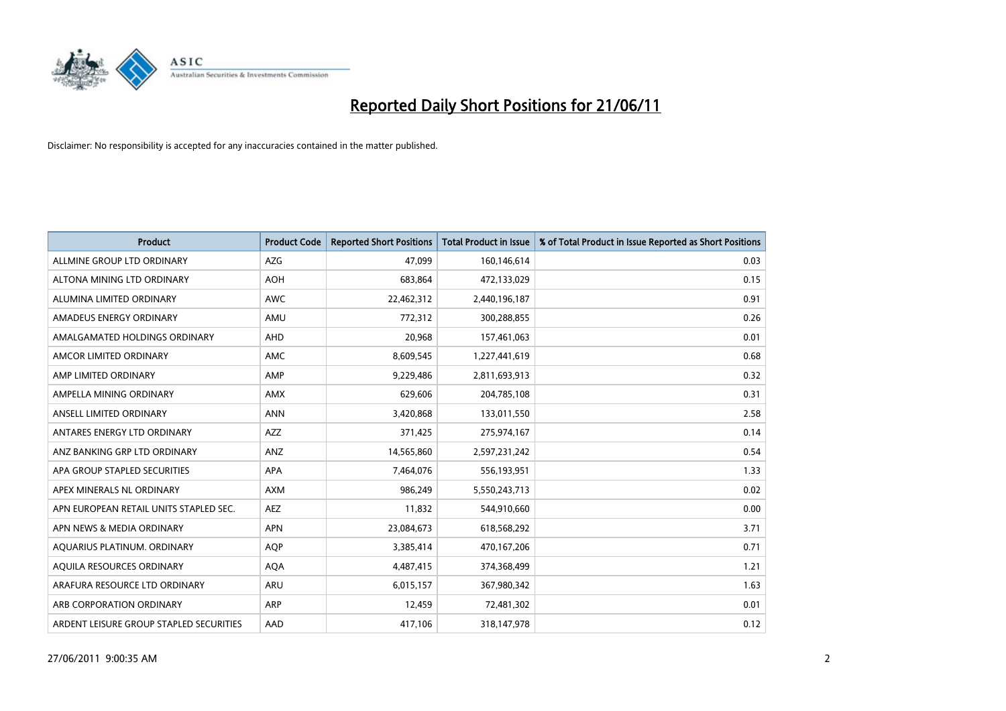

| <b>Product</b>                          | <b>Product Code</b> | <b>Reported Short Positions</b> | <b>Total Product in Issue</b> | % of Total Product in Issue Reported as Short Positions |
|-----------------------------------------|---------------------|---------------------------------|-------------------------------|---------------------------------------------------------|
| ALLMINE GROUP LTD ORDINARY              | <b>AZG</b>          | 47.099                          | 160,146,614                   | 0.03                                                    |
| ALTONA MINING LTD ORDINARY              | <b>AOH</b>          | 683,864                         | 472,133,029                   | 0.15                                                    |
| ALUMINA LIMITED ORDINARY                | <b>AWC</b>          | 22,462,312                      | 2,440,196,187                 | 0.91                                                    |
| AMADEUS ENERGY ORDINARY                 | AMU                 | 772,312                         | 300,288,855                   | 0.26                                                    |
| AMALGAMATED HOLDINGS ORDINARY           | AHD                 | 20,968                          | 157,461,063                   | 0.01                                                    |
| AMCOR LIMITED ORDINARY                  | <b>AMC</b>          | 8,609,545                       | 1,227,441,619                 | 0.68                                                    |
| AMP LIMITED ORDINARY                    | AMP                 | 9,229,486                       | 2,811,693,913                 | 0.32                                                    |
| AMPELLA MINING ORDINARY                 | <b>AMX</b>          | 629,606                         | 204,785,108                   | 0.31                                                    |
| ANSELL LIMITED ORDINARY                 | <b>ANN</b>          | 3,420,868                       | 133,011,550                   | 2.58                                                    |
| ANTARES ENERGY LTD ORDINARY             | <b>AZZ</b>          | 371,425                         | 275,974,167                   | 0.14                                                    |
| ANZ BANKING GRP LTD ORDINARY            | ANZ                 | 14,565,860                      | 2,597,231,242                 | 0.54                                                    |
| APA GROUP STAPLED SECURITIES            | <b>APA</b>          | 7,464,076                       | 556,193,951                   | 1.33                                                    |
| APEX MINERALS NL ORDINARY               | <b>AXM</b>          | 986.249                         | 5,550,243,713                 | 0.02                                                    |
| APN EUROPEAN RETAIL UNITS STAPLED SEC.  | <b>AEZ</b>          | 11,832                          | 544,910,660                   | 0.00                                                    |
| APN NEWS & MEDIA ORDINARY               | <b>APN</b>          | 23,084,673                      | 618,568,292                   | 3.71                                                    |
| AQUARIUS PLATINUM. ORDINARY             | <b>AOP</b>          | 3,385,414                       | 470,167,206                   | 0.71                                                    |
| AQUILA RESOURCES ORDINARY               | <b>AQA</b>          | 4,487,415                       | 374,368,499                   | 1.21                                                    |
| ARAFURA RESOURCE LTD ORDINARY           | <b>ARU</b>          | 6,015,157                       | 367,980,342                   | 1.63                                                    |
| ARB CORPORATION ORDINARY                | <b>ARP</b>          | 12,459                          | 72,481,302                    | 0.01                                                    |
| ARDENT LEISURE GROUP STAPLED SECURITIES | AAD                 | 417,106                         | 318,147,978                   | 0.12                                                    |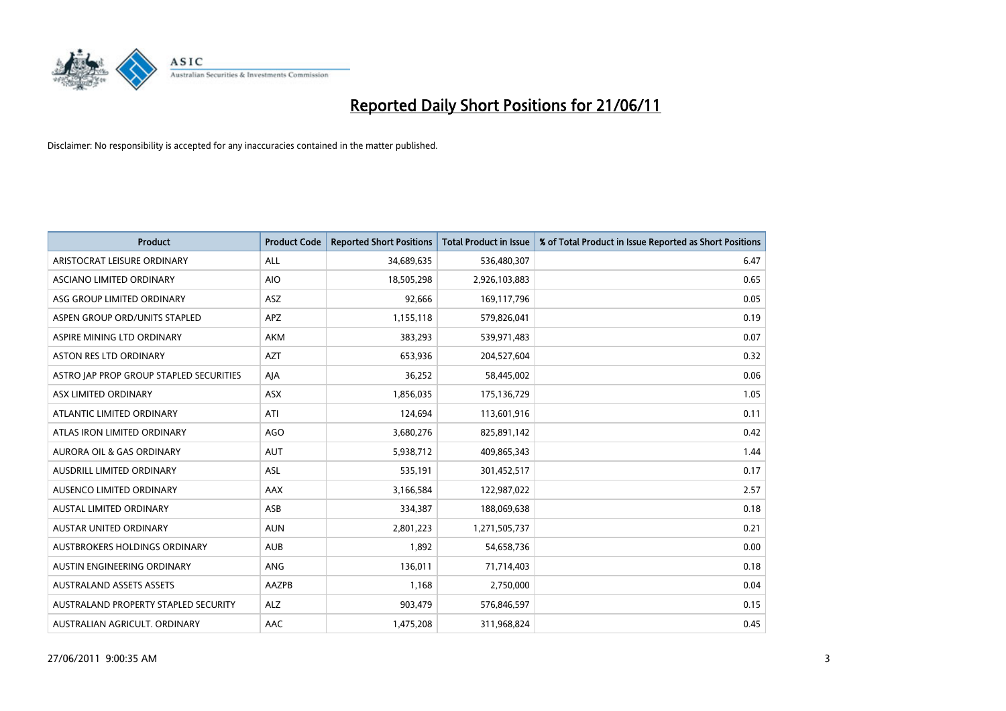

| <b>Product</b>                          | <b>Product Code</b> | <b>Reported Short Positions</b> | Total Product in Issue | % of Total Product in Issue Reported as Short Positions |
|-----------------------------------------|---------------------|---------------------------------|------------------------|---------------------------------------------------------|
| ARISTOCRAT LEISURE ORDINARY             | ALL                 | 34,689,635                      | 536,480,307            | 6.47                                                    |
| ASCIANO LIMITED ORDINARY                | <b>AIO</b>          | 18,505,298                      | 2,926,103,883          | 0.65                                                    |
| ASG GROUP LIMITED ORDINARY              | ASZ                 | 92,666                          | 169,117,796            | 0.05                                                    |
| ASPEN GROUP ORD/UNITS STAPLED           | APZ                 | 1,155,118                       | 579,826,041            | 0.19                                                    |
| ASPIRE MINING LTD ORDINARY              | <b>AKM</b>          | 383,293                         | 539,971,483            | 0.07                                                    |
| ASTON RES LTD ORDINARY                  | <b>AZT</b>          | 653,936                         | 204,527,604            | 0.32                                                    |
| ASTRO JAP PROP GROUP STAPLED SECURITIES | AJA                 | 36,252                          | 58,445,002             | 0.06                                                    |
| ASX LIMITED ORDINARY                    | <b>ASX</b>          | 1,856,035                       | 175,136,729            | 1.05                                                    |
| ATLANTIC LIMITED ORDINARY               | ATI                 | 124,694                         | 113,601,916            | 0.11                                                    |
| ATLAS IRON LIMITED ORDINARY             | <b>AGO</b>          | 3,680,276                       | 825,891,142            | 0.42                                                    |
| AURORA OIL & GAS ORDINARY               | <b>AUT</b>          | 5,938,712                       | 409,865,343            | 1.44                                                    |
| AUSDRILL LIMITED ORDINARY               | ASL                 | 535,191                         | 301,452,517            | 0.17                                                    |
| AUSENCO LIMITED ORDINARY                | AAX                 | 3,166,584                       | 122,987,022            | 2.57                                                    |
| <b>AUSTAL LIMITED ORDINARY</b>          | ASB                 | 334,387                         | 188,069,638            | 0.18                                                    |
| AUSTAR UNITED ORDINARY                  | <b>AUN</b>          | 2,801,223                       | 1,271,505,737          | 0.21                                                    |
| AUSTBROKERS HOLDINGS ORDINARY           | <b>AUB</b>          | 1,892                           | 54,658,736             | 0.00                                                    |
| AUSTIN ENGINEERING ORDINARY             | <b>ANG</b>          | 136,011                         | 71,714,403             | 0.18                                                    |
| <b>AUSTRALAND ASSETS ASSETS</b>         | AAZPB               | 1,168                           | 2,750,000              | 0.04                                                    |
| AUSTRALAND PROPERTY STAPLED SECURITY    | <b>ALZ</b>          | 903,479                         | 576,846,597            | 0.15                                                    |
| AUSTRALIAN AGRICULT. ORDINARY           | AAC                 | 1,475,208                       | 311,968,824            | 0.45                                                    |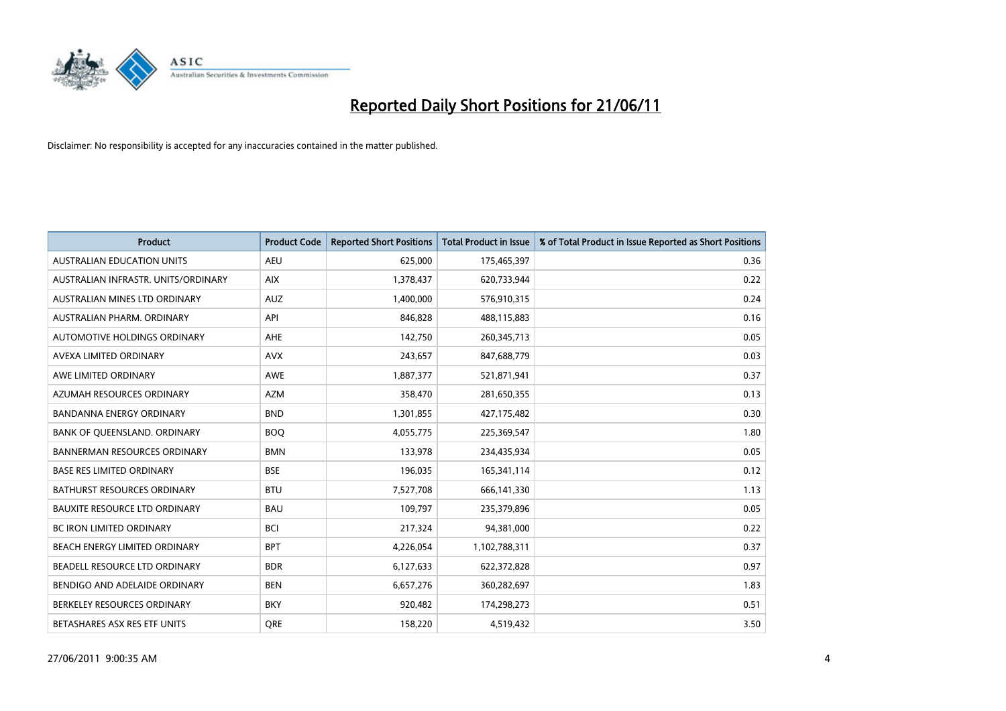

| <b>Product</b>                       | <b>Product Code</b> | <b>Reported Short Positions</b> | <b>Total Product in Issue</b> | % of Total Product in Issue Reported as Short Positions |
|--------------------------------------|---------------------|---------------------------------|-------------------------------|---------------------------------------------------------|
| <b>AUSTRALIAN EDUCATION UNITS</b>    | <b>AEU</b>          | 625,000                         | 175,465,397                   | 0.36                                                    |
| AUSTRALIAN INFRASTR. UNITS/ORDINARY  | <b>AIX</b>          | 1,378,437                       | 620,733,944                   | 0.22                                                    |
| AUSTRALIAN MINES LTD ORDINARY        | <b>AUZ</b>          | 1,400,000                       | 576,910,315                   | 0.24                                                    |
| AUSTRALIAN PHARM. ORDINARY           | API                 | 846,828                         | 488,115,883                   | 0.16                                                    |
| AUTOMOTIVE HOLDINGS ORDINARY         | <b>AHE</b>          | 142,750                         | 260,345,713                   | 0.05                                                    |
| AVEXA LIMITED ORDINARY               | <b>AVX</b>          | 243,657                         | 847,688,779                   | 0.03                                                    |
| AWE LIMITED ORDINARY                 | <b>AWE</b>          | 1,887,377                       | 521,871,941                   | 0.37                                                    |
| AZUMAH RESOURCES ORDINARY            | <b>AZM</b>          | 358,470                         | 281,650,355                   | 0.13                                                    |
| <b>BANDANNA ENERGY ORDINARY</b>      | <b>BND</b>          | 1,301,855                       | 427,175,482                   | 0.30                                                    |
| BANK OF QUEENSLAND. ORDINARY         | <b>BOO</b>          | 4,055,775                       | 225,369,547                   | 1.80                                                    |
| <b>BANNERMAN RESOURCES ORDINARY</b>  | <b>BMN</b>          | 133,978                         | 234,435,934                   | 0.05                                                    |
| <b>BASE RES LIMITED ORDINARY</b>     | <b>BSE</b>          | 196,035                         | 165,341,114                   | 0.12                                                    |
| BATHURST RESOURCES ORDINARY          | <b>BTU</b>          | 7,527,708                       | 666,141,330                   | 1.13                                                    |
| <b>BAUXITE RESOURCE LTD ORDINARY</b> | <b>BAU</b>          | 109,797                         | 235,379,896                   | 0.05                                                    |
| <b>BC IRON LIMITED ORDINARY</b>      | <b>BCI</b>          | 217,324                         | 94,381,000                    | 0.22                                                    |
| BEACH ENERGY LIMITED ORDINARY        | <b>BPT</b>          | 4,226,054                       | 1,102,788,311                 | 0.37                                                    |
| BEADELL RESOURCE LTD ORDINARY        | <b>BDR</b>          | 6,127,633                       | 622,372,828                   | 0.97                                                    |
| BENDIGO AND ADELAIDE ORDINARY        | <b>BEN</b>          | 6,657,276                       | 360,282,697                   | 1.83                                                    |
| BERKELEY RESOURCES ORDINARY          | <b>BKY</b>          | 920,482                         | 174,298,273                   | 0.51                                                    |
| BETASHARES ASX RES ETF UNITS         | <b>ORE</b>          | 158,220                         | 4,519,432                     | 3.50                                                    |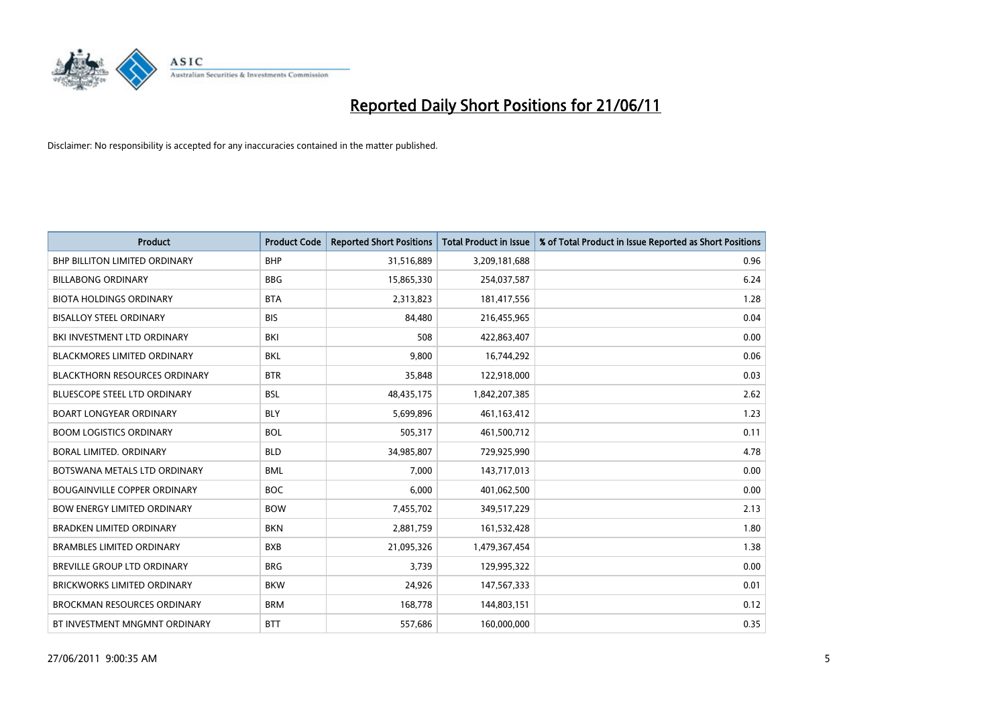

| <b>Product</b>                       | <b>Product Code</b> | <b>Reported Short Positions</b> | <b>Total Product in Issue</b> | % of Total Product in Issue Reported as Short Positions |
|--------------------------------------|---------------------|---------------------------------|-------------------------------|---------------------------------------------------------|
| <b>BHP BILLITON LIMITED ORDINARY</b> | <b>BHP</b>          | 31,516,889                      | 3,209,181,688                 | 0.96                                                    |
| <b>BILLABONG ORDINARY</b>            | <b>BBG</b>          | 15,865,330                      | 254,037,587                   | 6.24                                                    |
| <b>BIOTA HOLDINGS ORDINARY</b>       | <b>BTA</b>          | 2,313,823                       | 181,417,556                   | 1.28                                                    |
| <b>BISALLOY STEEL ORDINARY</b>       | <b>BIS</b>          | 84,480                          | 216,455,965                   | 0.04                                                    |
| BKI INVESTMENT LTD ORDINARY          | BKI                 | 508                             | 422,863,407                   | 0.00                                                    |
| <b>BLACKMORES LIMITED ORDINARY</b>   | BKL                 | 9,800                           | 16,744,292                    | 0.06                                                    |
| <b>BLACKTHORN RESOURCES ORDINARY</b> | <b>BTR</b>          | 35.848                          | 122,918,000                   | 0.03                                                    |
| <b>BLUESCOPE STEEL LTD ORDINARY</b>  | <b>BSL</b>          | 48,435,175                      | 1,842,207,385                 | 2.62                                                    |
| <b>BOART LONGYEAR ORDINARY</b>       | <b>BLY</b>          | 5,699,896                       | 461,163,412                   | 1.23                                                    |
| <b>BOOM LOGISTICS ORDINARY</b>       | <b>BOL</b>          | 505,317                         | 461,500,712                   | 0.11                                                    |
| BORAL LIMITED. ORDINARY              | <b>BLD</b>          | 34,985,807                      | 729,925,990                   | 4.78                                                    |
| BOTSWANA METALS LTD ORDINARY         | <b>BML</b>          | 7,000                           | 143,717,013                   | 0.00                                                    |
| <b>BOUGAINVILLE COPPER ORDINARY</b>  | <b>BOC</b>          | 6,000                           | 401,062,500                   | 0.00                                                    |
| <b>BOW ENERGY LIMITED ORDINARY</b>   | <b>BOW</b>          | 7,455,702                       | 349,517,229                   | 2.13                                                    |
| <b>BRADKEN LIMITED ORDINARY</b>      | <b>BKN</b>          | 2,881,759                       | 161,532,428                   | 1.80                                                    |
| <b>BRAMBLES LIMITED ORDINARY</b>     | <b>BXB</b>          | 21,095,326                      | 1,479,367,454                 | 1.38                                                    |
| <b>BREVILLE GROUP LTD ORDINARY</b>   | <b>BRG</b>          | 3,739                           | 129,995,322                   | 0.00                                                    |
| <b>BRICKWORKS LIMITED ORDINARY</b>   | <b>BKW</b>          | 24,926                          | 147,567,333                   | 0.01                                                    |
| <b>BROCKMAN RESOURCES ORDINARY</b>   | <b>BRM</b>          | 168,778                         | 144,803,151                   | 0.12                                                    |
| BT INVESTMENT MNGMNT ORDINARY        | <b>BTT</b>          | 557,686                         | 160,000,000                   | 0.35                                                    |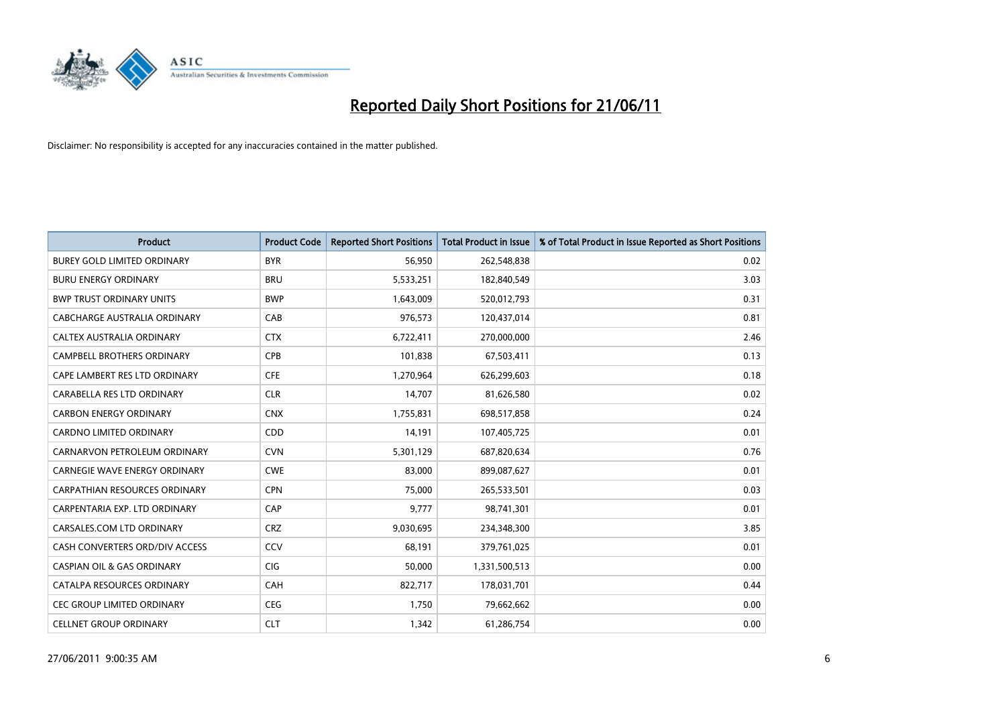

| <b>Product</b>                        | <b>Product Code</b> | <b>Reported Short Positions</b> | <b>Total Product in Issue</b> | % of Total Product in Issue Reported as Short Positions |
|---------------------------------------|---------------------|---------------------------------|-------------------------------|---------------------------------------------------------|
| <b>BUREY GOLD LIMITED ORDINARY</b>    | <b>BYR</b>          | 56,950                          | 262,548,838                   | 0.02                                                    |
| <b>BURU ENERGY ORDINARY</b>           | <b>BRU</b>          | 5,533,251                       | 182,840,549                   | 3.03                                                    |
| <b>BWP TRUST ORDINARY UNITS</b>       | <b>BWP</b>          | 1,643,009                       | 520,012,793                   | 0.31                                                    |
| CABCHARGE AUSTRALIA ORDINARY          | CAB                 | 976,573                         | 120,437,014                   | 0.81                                                    |
| CALTEX AUSTRALIA ORDINARY             | <b>CTX</b>          | 6,722,411                       | 270,000,000                   | 2.46                                                    |
| <b>CAMPBELL BROTHERS ORDINARY</b>     | CPB                 | 101,838                         | 67,503,411                    | 0.13                                                    |
| CAPE LAMBERT RES LTD ORDINARY         | <b>CFE</b>          | 1,270,964                       | 626,299,603                   | 0.18                                                    |
| CARABELLA RES LTD ORDINARY            | <b>CLR</b>          | 14,707                          | 81,626,580                    | 0.02                                                    |
| <b>CARBON ENERGY ORDINARY</b>         | <b>CNX</b>          | 1,755,831                       | 698,517,858                   | 0.24                                                    |
| <b>CARDNO LIMITED ORDINARY</b>        | CDD                 | 14,191                          | 107,405,725                   | 0.01                                                    |
| CARNARVON PETROLEUM ORDINARY          | <b>CVN</b>          | 5,301,129                       | 687,820,634                   | 0.76                                                    |
| <b>CARNEGIE WAVE ENERGY ORDINARY</b>  | <b>CWE</b>          | 83,000                          | 899,087,627                   | 0.01                                                    |
| <b>CARPATHIAN RESOURCES ORDINARY</b>  | <b>CPN</b>          | 75,000                          | 265,533,501                   | 0.03                                                    |
| CARPENTARIA EXP. LTD ORDINARY         | CAP                 | 9,777                           | 98,741,301                    | 0.01                                                    |
| CARSALES.COM LTD ORDINARY             | <b>CRZ</b>          | 9,030,695                       | 234,348,300                   | 3.85                                                    |
| CASH CONVERTERS ORD/DIV ACCESS        | CCV                 | 68,191                          | 379,761,025                   | 0.01                                                    |
| <b>CASPIAN OIL &amp; GAS ORDINARY</b> | CIG                 | 50,000                          | 1,331,500,513                 | 0.00                                                    |
| CATALPA RESOURCES ORDINARY            | CAH                 | 822,717                         | 178,031,701                   | 0.44                                                    |
| <b>CEC GROUP LIMITED ORDINARY</b>     | <b>CEG</b>          | 1,750                           | 79,662,662                    | 0.00                                                    |
| <b>CELLNET GROUP ORDINARY</b>         | <b>CLT</b>          | 1,342                           | 61,286,754                    | 0.00                                                    |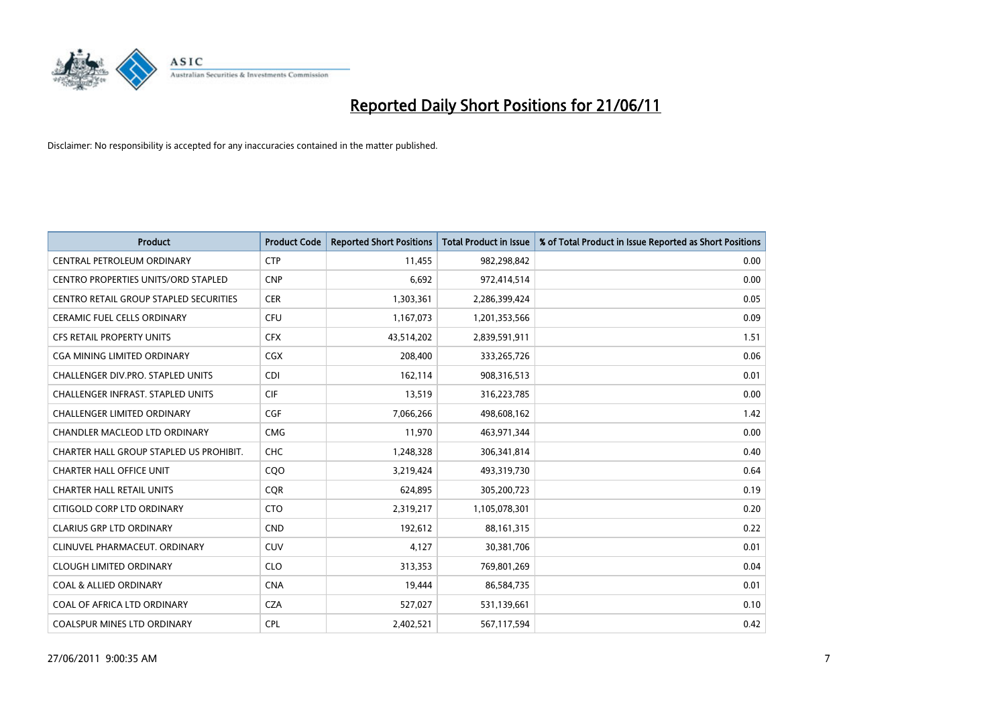

| <b>Product</b>                                | <b>Product Code</b> | <b>Reported Short Positions</b> | <b>Total Product in Issue</b> | % of Total Product in Issue Reported as Short Positions |
|-----------------------------------------------|---------------------|---------------------------------|-------------------------------|---------------------------------------------------------|
| CENTRAL PETROLEUM ORDINARY                    | <b>CTP</b>          | 11.455                          | 982,298,842                   | 0.00                                                    |
| <b>CENTRO PROPERTIES UNITS/ORD STAPLED</b>    | <b>CNP</b>          | 6,692                           | 972,414,514                   | 0.00                                                    |
| <b>CENTRO RETAIL GROUP STAPLED SECURITIES</b> | <b>CER</b>          | 1,303,361                       | 2,286,399,424                 | 0.05                                                    |
| CERAMIC FUEL CELLS ORDINARY                   | CFU                 | 1,167,073                       | 1,201,353,566                 | 0.09                                                    |
| <b>CFS RETAIL PROPERTY UNITS</b>              | <b>CFX</b>          | 43,514,202                      | 2,839,591,911                 | 1.51                                                    |
| <b>CGA MINING LIMITED ORDINARY</b>            | <b>CGX</b>          | 208,400                         | 333,265,726                   | 0.06                                                    |
| CHALLENGER DIV.PRO. STAPLED UNITS             | <b>CDI</b>          | 162,114                         | 908,316,513                   | 0.01                                                    |
| <b>CHALLENGER INFRAST, STAPLED UNITS</b>      | <b>CIF</b>          | 13,519                          | 316,223,785                   | 0.00                                                    |
| <b>CHALLENGER LIMITED ORDINARY</b>            | CGF                 | 7,066,266                       | 498,608,162                   | 1.42                                                    |
| <b>CHANDLER MACLEOD LTD ORDINARY</b>          | <b>CMG</b>          | 11,970                          | 463,971,344                   | 0.00                                                    |
| CHARTER HALL GROUP STAPLED US PROHIBIT.       | <b>CHC</b>          | 1,248,328                       | 306,341,814                   | 0.40                                                    |
| <b>CHARTER HALL OFFICE UNIT</b>               | COO                 | 3,219,424                       | 493,319,730                   | 0.64                                                    |
| <b>CHARTER HALL RETAIL UNITS</b>              | <b>COR</b>          | 624,895                         | 305,200,723                   | 0.19                                                    |
| CITIGOLD CORP LTD ORDINARY                    | <b>CTO</b>          | 2,319,217                       | 1,105,078,301                 | 0.20                                                    |
| <b>CLARIUS GRP LTD ORDINARY</b>               | <b>CND</b>          | 192,612                         | 88,161,315                    | 0.22                                                    |
| CLINUVEL PHARMACEUT, ORDINARY                 | <b>CUV</b>          | 4,127                           | 30,381,706                    | 0.01                                                    |
| <b>CLOUGH LIMITED ORDINARY</b>                | <b>CLO</b>          | 313,353                         | 769,801,269                   | 0.04                                                    |
| <b>COAL &amp; ALLIED ORDINARY</b>             | <b>CNA</b>          | 19,444                          | 86,584,735                    | 0.01                                                    |
| COAL OF AFRICA LTD ORDINARY                   | <b>CZA</b>          | 527,027                         | 531,139,661                   | 0.10                                                    |
| COALSPUR MINES LTD ORDINARY                   | <b>CPL</b>          | 2,402,521                       | 567,117,594                   | 0.42                                                    |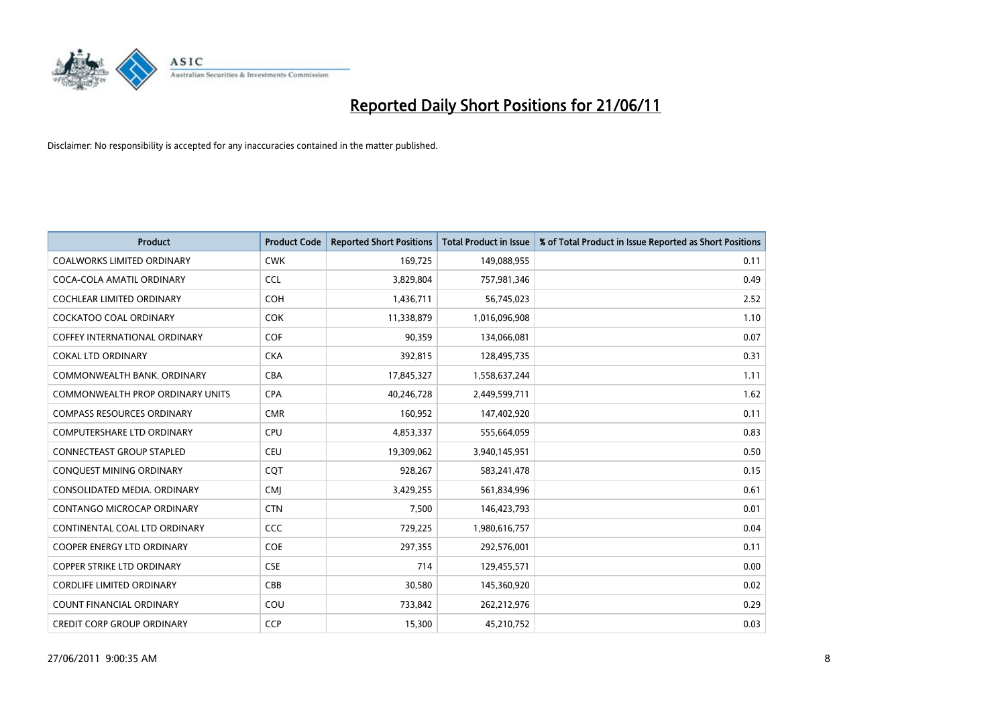

| <b>Product</b>                          | <b>Product Code</b> | <b>Reported Short Positions</b> | <b>Total Product in Issue</b> | % of Total Product in Issue Reported as Short Positions |
|-----------------------------------------|---------------------|---------------------------------|-------------------------------|---------------------------------------------------------|
| <b>COALWORKS LIMITED ORDINARY</b>       | <b>CWK</b>          | 169,725                         | 149,088,955                   | 0.11                                                    |
| COCA-COLA AMATIL ORDINARY               | <b>CCL</b>          | 3,829,804                       | 757,981,346                   | 0.49                                                    |
| <b>COCHLEAR LIMITED ORDINARY</b>        | <b>COH</b>          | 1,436,711                       | 56,745,023                    | 2.52                                                    |
| COCKATOO COAL ORDINARY                  | <b>COK</b>          | 11,338,879                      | 1,016,096,908                 | 1.10                                                    |
| <b>COFFEY INTERNATIONAL ORDINARY</b>    | COF                 | 90,359                          | 134,066,081                   | 0.07                                                    |
| <b>COKAL LTD ORDINARY</b>               | <b>CKA</b>          | 392,815                         | 128,495,735                   | 0.31                                                    |
| COMMONWEALTH BANK, ORDINARY             | <b>CBA</b>          | 17,845,327                      | 1,558,637,244                 | 1.11                                                    |
| <b>COMMONWEALTH PROP ORDINARY UNITS</b> | <b>CPA</b>          | 40,246,728                      | 2,449,599,711                 | 1.62                                                    |
| <b>COMPASS RESOURCES ORDINARY</b>       | <b>CMR</b>          | 160,952                         | 147,402,920                   | 0.11                                                    |
| <b>COMPUTERSHARE LTD ORDINARY</b>       | <b>CPU</b>          | 4,853,337                       | 555,664,059                   | 0.83                                                    |
| CONNECTEAST GROUP STAPLED               | CEU                 | 19,309,062                      | 3,940,145,951                 | 0.50                                                    |
| CONQUEST MINING ORDINARY                | COT                 | 928,267                         | 583,241,478                   | 0.15                                                    |
| CONSOLIDATED MEDIA, ORDINARY            | <b>CMJ</b>          | 3,429,255                       | 561,834,996                   | 0.61                                                    |
| CONTANGO MICROCAP ORDINARY              | <b>CTN</b>          | 7,500                           | 146,423,793                   | 0.01                                                    |
| CONTINENTAL COAL LTD ORDINARY           | CCC                 | 729,225                         | 1,980,616,757                 | 0.04                                                    |
| <b>COOPER ENERGY LTD ORDINARY</b>       | <b>COE</b>          | 297,355                         | 292,576,001                   | 0.11                                                    |
| COPPER STRIKE LTD ORDINARY              | <b>CSE</b>          | 714                             | 129,455,571                   | 0.00                                                    |
| <b>CORDLIFE LIMITED ORDINARY</b>        | CBB                 | 30,580                          | 145,360,920                   | 0.02                                                    |
| <b>COUNT FINANCIAL ORDINARY</b>         | COU                 | 733,842                         | 262,212,976                   | 0.29                                                    |
| <b>CREDIT CORP GROUP ORDINARY</b>       | <b>CCP</b>          | 15,300                          | 45,210,752                    | 0.03                                                    |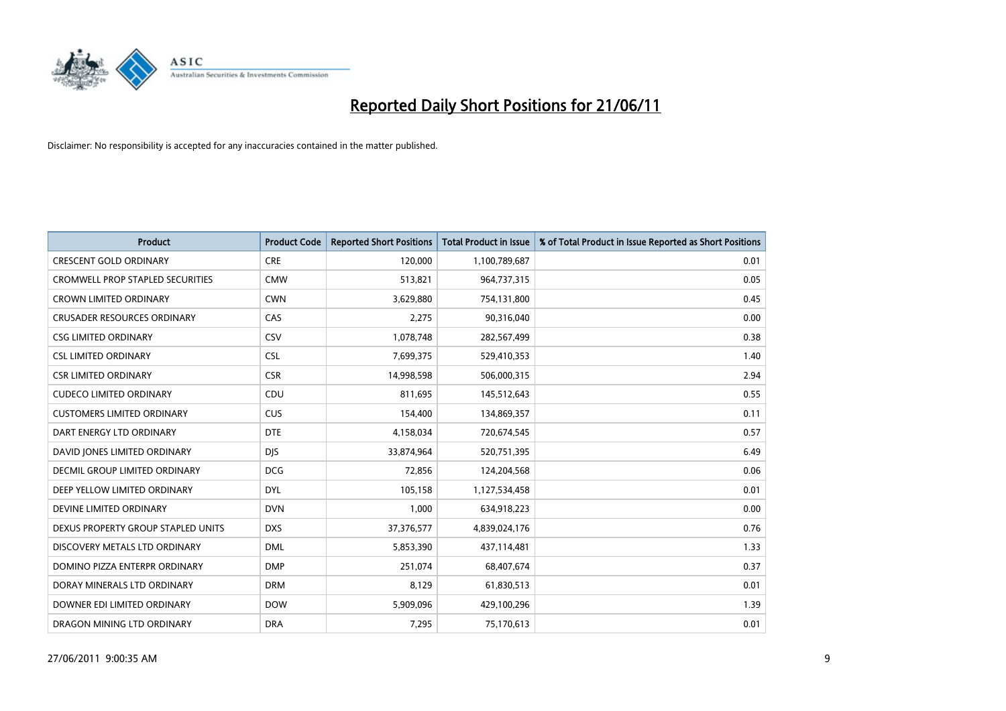

| <b>Product</b>                          | <b>Product Code</b> | <b>Reported Short Positions</b> | Total Product in Issue | % of Total Product in Issue Reported as Short Positions |
|-----------------------------------------|---------------------|---------------------------------|------------------------|---------------------------------------------------------|
| <b>CRESCENT GOLD ORDINARY</b>           | <b>CRE</b>          | 120,000                         | 1,100,789,687          | 0.01                                                    |
| <b>CROMWELL PROP STAPLED SECURITIES</b> | <b>CMW</b>          | 513,821                         | 964,737,315            | 0.05                                                    |
| <b>CROWN LIMITED ORDINARY</b>           | <b>CWN</b>          | 3,629,880                       | 754,131,800            | 0.45                                                    |
| <b>CRUSADER RESOURCES ORDINARY</b>      | CAS                 | 2,275                           | 90,316,040             | 0.00                                                    |
| <b>CSG LIMITED ORDINARY</b>             | CSV                 | 1,078,748                       | 282,567,499            | 0.38                                                    |
| <b>CSL LIMITED ORDINARY</b>             | <b>CSL</b>          | 7,699,375                       | 529,410,353            | 1.40                                                    |
| <b>CSR LIMITED ORDINARY</b>             | <b>CSR</b>          | 14,998,598                      | 506,000,315            | 2.94                                                    |
| <b>CUDECO LIMITED ORDINARY</b>          | CDU                 | 811,695                         | 145,512,643            | 0.55                                                    |
| <b>CUSTOMERS LIMITED ORDINARY</b>       | CUS                 | 154,400                         | 134,869,357            | 0.11                                                    |
| DART ENERGY LTD ORDINARY                | <b>DTE</b>          | 4,158,034                       | 720,674,545            | 0.57                                                    |
| DAVID JONES LIMITED ORDINARY            | <b>DIS</b>          | 33,874,964                      | 520,751,395            | 6.49                                                    |
| <b>DECMIL GROUP LIMITED ORDINARY</b>    | <b>DCG</b>          | 72,856                          | 124,204,568            | 0.06                                                    |
| DEEP YELLOW LIMITED ORDINARY            | <b>DYL</b>          | 105,158                         | 1,127,534,458          | 0.01                                                    |
| DEVINE LIMITED ORDINARY                 | <b>DVN</b>          | 1,000                           | 634,918,223            | 0.00                                                    |
| DEXUS PROPERTY GROUP STAPLED UNITS      | <b>DXS</b>          | 37,376,577                      | 4,839,024,176          | 0.76                                                    |
| DISCOVERY METALS LTD ORDINARY           | <b>DML</b>          | 5,853,390                       | 437,114,481            | 1.33                                                    |
| DOMINO PIZZA ENTERPR ORDINARY           | <b>DMP</b>          | 251,074                         | 68,407,674             | 0.37                                                    |
| DORAY MINERALS LTD ORDINARY             | <b>DRM</b>          | 8,129                           | 61,830,513             | 0.01                                                    |
| DOWNER EDI LIMITED ORDINARY             | <b>DOW</b>          | 5,909,096                       | 429,100,296            | 1.39                                                    |
| DRAGON MINING LTD ORDINARY              | <b>DRA</b>          | 7,295                           | 75,170,613             | 0.01                                                    |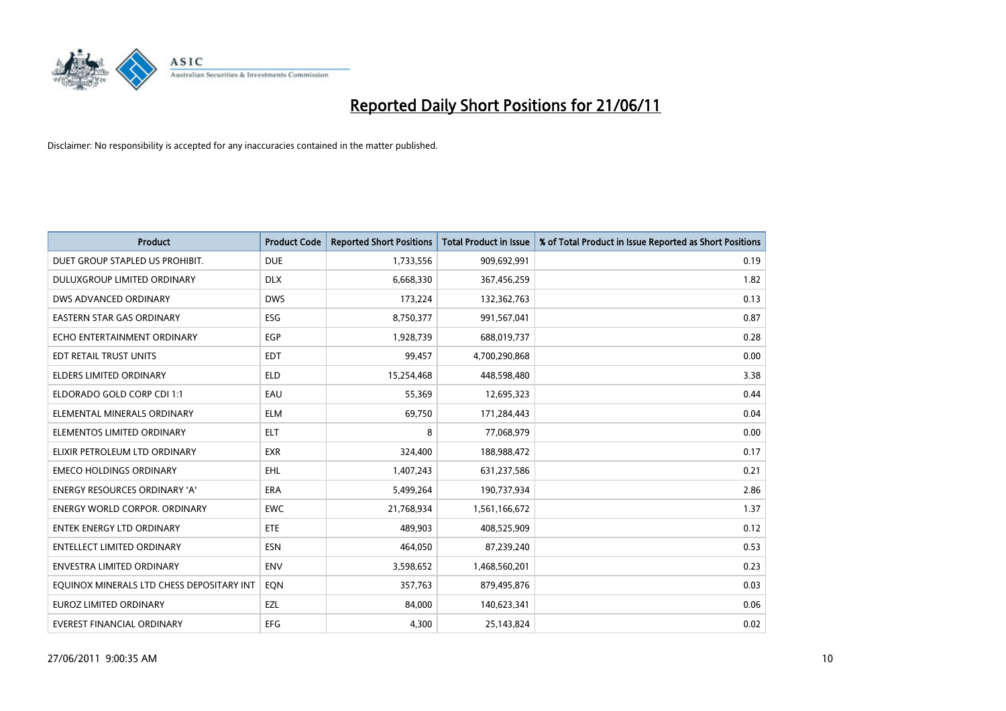

| <b>Product</b>                            | <b>Product Code</b> | <b>Reported Short Positions</b> | <b>Total Product in Issue</b> | % of Total Product in Issue Reported as Short Positions |
|-------------------------------------------|---------------------|---------------------------------|-------------------------------|---------------------------------------------------------|
| DUET GROUP STAPLED US PROHIBIT.           | <b>DUE</b>          | 1,733,556                       | 909,692,991                   | 0.19                                                    |
| DULUXGROUP LIMITED ORDINARY               | <b>DLX</b>          | 6,668,330                       | 367,456,259                   | 1.82                                                    |
| DWS ADVANCED ORDINARY                     | <b>DWS</b>          | 173,224                         | 132,362,763                   | 0.13                                                    |
| EASTERN STAR GAS ORDINARY                 | <b>ESG</b>          | 8,750,377                       | 991,567,041                   | 0.87                                                    |
| ECHO ENTERTAINMENT ORDINARY               | <b>EGP</b>          | 1,928,739                       | 688,019,737                   | 0.28                                                    |
| EDT RETAIL TRUST UNITS                    | <b>EDT</b>          | 99,457                          | 4,700,290,868                 | 0.00                                                    |
| <b>ELDERS LIMITED ORDINARY</b>            | <b>ELD</b>          | 15,254,468                      | 448,598,480                   | 3.38                                                    |
| ELDORADO GOLD CORP CDI 1:1                | EAU                 | 55,369                          | 12,695,323                    | 0.44                                                    |
| ELEMENTAL MINERALS ORDINARY               | <b>ELM</b>          | 69,750                          | 171,284,443                   | 0.04                                                    |
| ELEMENTOS LIMITED ORDINARY                | <b>ELT</b>          | 8                               | 77,068,979                    | 0.00                                                    |
| ELIXIR PETROLEUM LTD ORDINARY             | <b>EXR</b>          | 324,400                         | 188,988,472                   | 0.17                                                    |
| <b>EMECO HOLDINGS ORDINARY</b>            | EHL                 | 1,407,243                       | 631,237,586                   | 0.21                                                    |
| <b>ENERGY RESOURCES ORDINARY 'A'</b>      | <b>ERA</b>          | 5,499,264                       | 190,737,934                   | 2.86                                                    |
| <b>ENERGY WORLD CORPOR, ORDINARY</b>      | <b>EWC</b>          | 21,768,934                      | 1,561,166,672                 | 1.37                                                    |
| <b>ENTEK ENERGY LTD ORDINARY</b>          | ETE                 | 489.903                         | 408,525,909                   | 0.12                                                    |
| <b>ENTELLECT LIMITED ORDINARY</b>         | <b>ESN</b>          | 464,050                         | 87,239,240                    | 0.53                                                    |
| ENVESTRA LIMITED ORDINARY                 | <b>ENV</b>          | 3,598,652                       | 1,468,560,201                 | 0.23                                                    |
| EQUINOX MINERALS LTD CHESS DEPOSITARY INT | EON                 | 357,763                         | 879,495,876                   | 0.03                                                    |
| <b>EUROZ LIMITED ORDINARY</b>             | EZL                 | 84,000                          | 140,623,341                   | 0.06                                                    |
| EVEREST FINANCIAL ORDINARY                | <b>EFG</b>          | 4,300                           | 25,143,824                    | 0.02                                                    |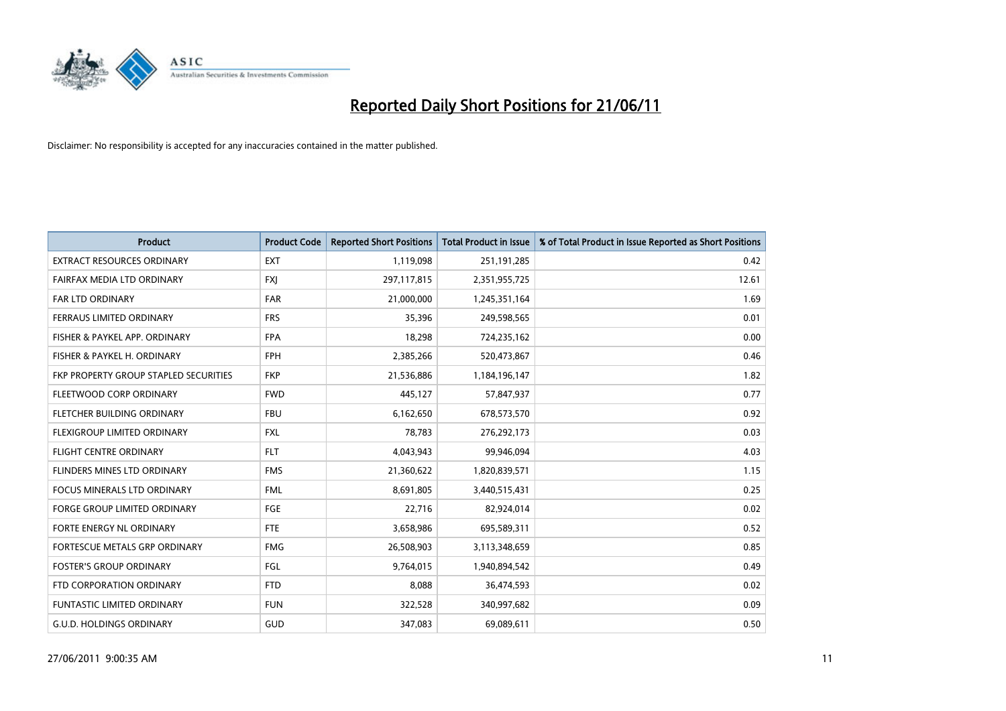

| <b>Product</b>                        | <b>Product Code</b> | <b>Reported Short Positions</b> | <b>Total Product in Issue</b> | % of Total Product in Issue Reported as Short Positions |
|---------------------------------------|---------------------|---------------------------------|-------------------------------|---------------------------------------------------------|
| <b>EXTRACT RESOURCES ORDINARY</b>     | <b>EXT</b>          | 1,119,098                       | 251,191,285                   | 0.42                                                    |
| FAIRFAX MEDIA LTD ORDINARY            | <b>FXI</b>          | 297,117,815                     | 2,351,955,725                 | 12.61                                                   |
| FAR LTD ORDINARY                      | <b>FAR</b>          | 21,000,000                      | 1,245,351,164                 | 1.69                                                    |
| FERRAUS LIMITED ORDINARY              | <b>FRS</b>          | 35,396                          | 249,598,565                   | 0.01                                                    |
| FISHER & PAYKEL APP. ORDINARY         | <b>FPA</b>          | 18,298                          | 724,235,162                   | 0.00                                                    |
| FISHER & PAYKEL H. ORDINARY           | <b>FPH</b>          | 2,385,266                       | 520,473,867                   | 0.46                                                    |
| FKP PROPERTY GROUP STAPLED SECURITIES | <b>FKP</b>          | 21,536,886                      | 1,184,196,147                 | 1.82                                                    |
| FLEETWOOD CORP ORDINARY               | <b>FWD</b>          | 445,127                         | 57,847,937                    | 0.77                                                    |
| FLETCHER BUILDING ORDINARY            | <b>FBU</b>          | 6,162,650                       | 678,573,570                   | 0.92                                                    |
| FLEXIGROUP LIMITED ORDINARY           | <b>FXL</b>          | 78,783                          | 276,292,173                   | 0.03                                                    |
| FLIGHT CENTRE ORDINARY                | <b>FLT</b>          | 4,043,943                       | 99,946,094                    | 4.03                                                    |
| FLINDERS MINES LTD ORDINARY           | <b>FMS</b>          | 21,360,622                      | 1,820,839,571                 | 1.15                                                    |
| <b>FOCUS MINERALS LTD ORDINARY</b>    | <b>FML</b>          | 8,691,805                       | 3,440,515,431                 | 0.25                                                    |
| <b>FORGE GROUP LIMITED ORDINARY</b>   | <b>FGE</b>          | 22,716                          | 82,924,014                    | 0.02                                                    |
| <b>FORTE ENERGY NL ORDINARY</b>       | <b>FTE</b>          | 3,658,986                       | 695,589,311                   | 0.52                                                    |
| FORTESCUE METALS GRP ORDINARY         | <b>FMG</b>          | 26,508,903                      | 3,113,348,659                 | 0.85                                                    |
| <b>FOSTER'S GROUP ORDINARY</b>        | FGL                 | 9,764,015                       | 1,940,894,542                 | 0.49                                                    |
| FTD CORPORATION ORDINARY              | <b>FTD</b>          | 8,088                           | 36,474,593                    | 0.02                                                    |
| <b>FUNTASTIC LIMITED ORDINARY</b>     | <b>FUN</b>          | 322,528                         | 340,997,682                   | 0.09                                                    |
| <b>G.U.D. HOLDINGS ORDINARY</b>       | <b>GUD</b>          | 347,083                         | 69,089,611                    | 0.50                                                    |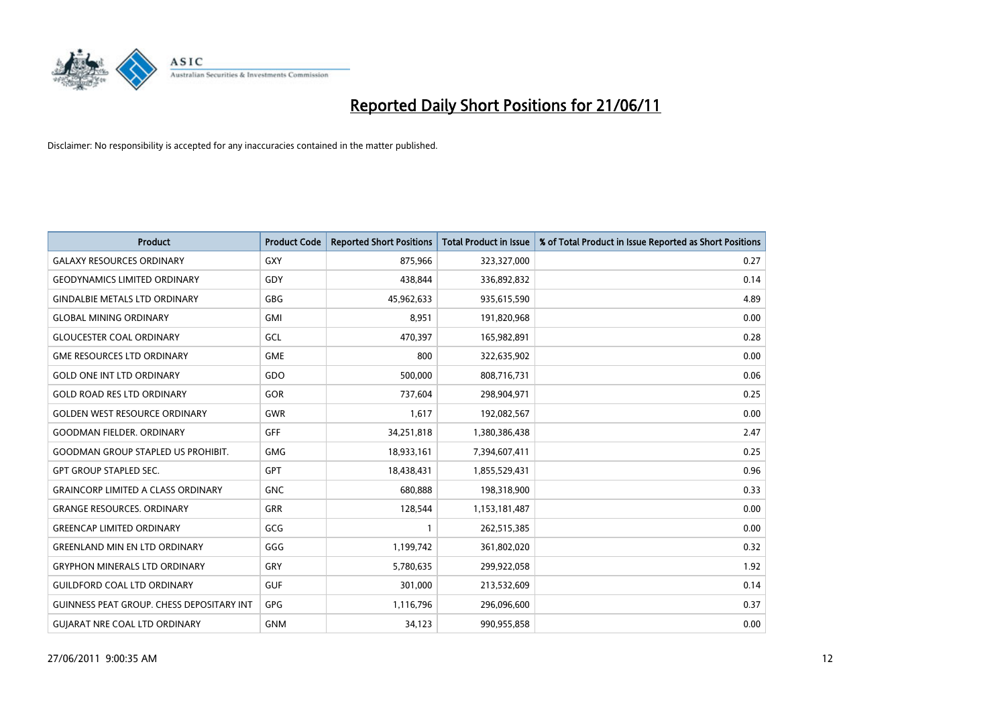

| <b>Product</b>                                   | <b>Product Code</b> | <b>Reported Short Positions</b> | <b>Total Product in Issue</b> | % of Total Product in Issue Reported as Short Positions |
|--------------------------------------------------|---------------------|---------------------------------|-------------------------------|---------------------------------------------------------|
| <b>GALAXY RESOURCES ORDINARY</b>                 | GXY                 | 875,966                         | 323,327,000                   | 0.27                                                    |
| <b>GEODYNAMICS LIMITED ORDINARY</b>              | GDY                 | 438.844                         | 336,892,832                   | 0.14                                                    |
| <b>GINDALBIE METALS LTD ORDINARY</b>             | <b>GBG</b>          | 45,962,633                      | 935,615,590                   | 4.89                                                    |
| <b>GLOBAL MINING ORDINARY</b>                    | <b>GMI</b>          | 8,951                           | 191,820,968                   | 0.00                                                    |
| <b>GLOUCESTER COAL ORDINARY</b>                  | GCL                 | 470.397                         | 165,982,891                   | 0.28                                                    |
| <b>GME RESOURCES LTD ORDINARY</b>                | <b>GME</b>          | 800                             | 322,635,902                   | 0.00                                                    |
| <b>GOLD ONE INT LTD ORDINARY</b>                 | GDO                 | 500.000                         | 808,716,731                   | 0.06                                                    |
| <b>GOLD ROAD RES LTD ORDINARY</b>                | <b>GOR</b>          | 737,604                         | 298,904,971                   | 0.25                                                    |
| <b>GOLDEN WEST RESOURCE ORDINARY</b>             | <b>GWR</b>          | 1,617                           | 192,082,567                   | 0.00                                                    |
| <b>GOODMAN FIELDER, ORDINARY</b>                 | <b>GFF</b>          | 34,251,818                      | 1,380,386,438                 | 2.47                                                    |
| <b>GOODMAN GROUP STAPLED US PROHIBIT.</b>        | <b>GMG</b>          | 18,933,161                      | 7,394,607,411                 | 0.25                                                    |
| <b>GPT GROUP STAPLED SEC.</b>                    | <b>GPT</b>          | 18,438,431                      | 1,855,529,431                 | 0.96                                                    |
| <b>GRAINCORP LIMITED A CLASS ORDINARY</b>        | <b>GNC</b>          | 680.888                         | 198,318,900                   | 0.33                                                    |
| <b>GRANGE RESOURCES, ORDINARY</b>                | <b>GRR</b>          | 128,544                         | 1,153,181,487                 | 0.00                                                    |
| <b>GREENCAP LIMITED ORDINARY</b>                 | GCG                 |                                 | 262,515,385                   | 0.00                                                    |
| <b>GREENLAND MIN EN LTD ORDINARY</b>             | GGG                 | 1,199,742                       | 361,802,020                   | 0.32                                                    |
| <b>GRYPHON MINERALS LTD ORDINARY</b>             | GRY                 | 5,780,635                       | 299,922,058                   | 1.92                                                    |
| <b>GUILDFORD COAL LTD ORDINARY</b>               | <b>GUF</b>          | 301,000                         | 213,532,609                   | 0.14                                                    |
| <b>GUINNESS PEAT GROUP. CHESS DEPOSITARY INT</b> | GPG                 | 1,116,796                       | 296,096,600                   | 0.37                                                    |
| <b>GUIARAT NRE COAL LTD ORDINARY</b>             | <b>GNM</b>          | 34,123                          | 990,955,858                   | 0.00                                                    |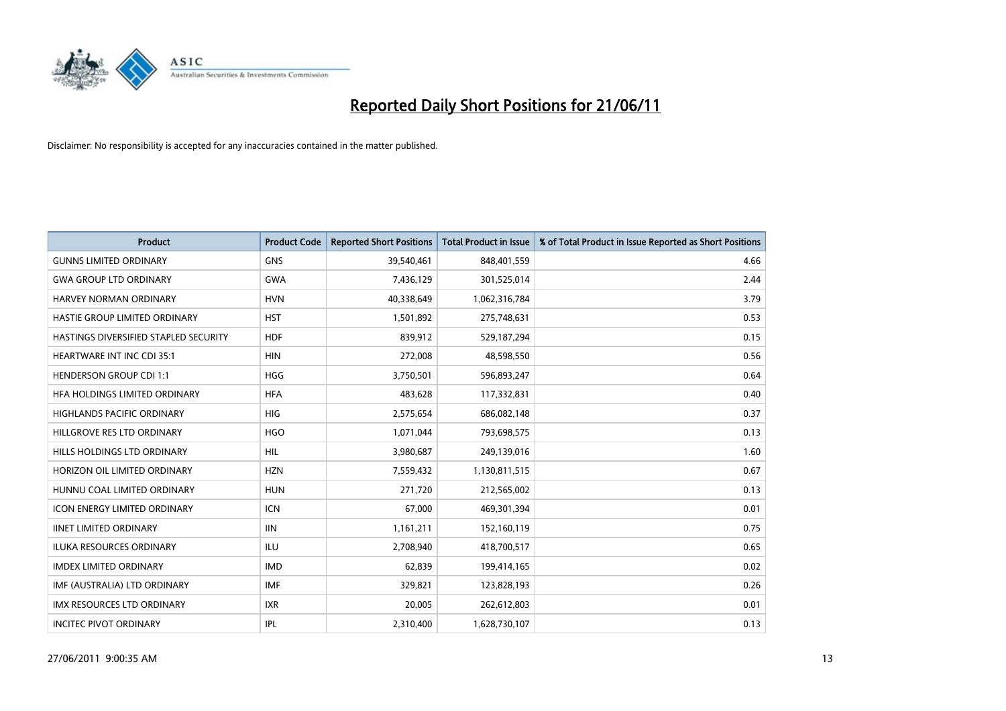

| <b>Product</b>                        | <b>Product Code</b> | <b>Reported Short Positions</b> | <b>Total Product in Issue</b> | % of Total Product in Issue Reported as Short Positions |
|---------------------------------------|---------------------|---------------------------------|-------------------------------|---------------------------------------------------------|
| <b>GUNNS LIMITED ORDINARY</b>         | <b>GNS</b>          | 39,540,461                      | 848,401,559                   | 4.66                                                    |
| <b>GWA GROUP LTD ORDINARY</b>         | <b>GWA</b>          | 7,436,129                       | 301,525,014                   | 2.44                                                    |
| <b>HARVEY NORMAN ORDINARY</b>         | <b>HVN</b>          | 40,338,649                      | 1,062,316,784                 | 3.79                                                    |
| HASTIE GROUP LIMITED ORDINARY         | <b>HST</b>          | 1,501,892                       | 275,748,631                   | 0.53                                                    |
| HASTINGS DIVERSIFIED STAPLED SECURITY | <b>HDF</b>          | 839,912                         | 529,187,294                   | 0.15                                                    |
| <b>HEARTWARE INT INC CDI 35:1</b>     | <b>HIN</b>          | 272,008                         | 48,598,550                    | 0.56                                                    |
| <b>HENDERSON GROUP CDI 1:1</b>        | <b>HGG</b>          | 3,750,501                       | 596,893,247                   | 0.64                                                    |
| HFA HOLDINGS LIMITED ORDINARY         | <b>HFA</b>          | 483,628                         | 117,332,831                   | 0.40                                                    |
| <b>HIGHLANDS PACIFIC ORDINARY</b>     | <b>HIG</b>          | 2,575,654                       | 686,082,148                   | 0.37                                                    |
| HILLGROVE RES LTD ORDINARY            | <b>HGO</b>          | 1,071,044                       | 793,698,575                   | 0.13                                                    |
| HILLS HOLDINGS LTD ORDINARY           | <b>HIL</b>          | 3,980,687                       | 249,139,016                   | 1.60                                                    |
| HORIZON OIL LIMITED ORDINARY          | <b>HZN</b>          | 7,559,432                       | 1,130,811,515                 | 0.67                                                    |
| HUNNU COAL LIMITED ORDINARY           | <b>HUN</b>          | 271,720                         | 212,565,002                   | 0.13                                                    |
| <b>ICON ENERGY LIMITED ORDINARY</b>   | <b>ICN</b>          | 67,000                          | 469,301,394                   | 0.01                                                    |
| <b>IINET LIMITED ORDINARY</b>         | <b>IIN</b>          | 1,161,211                       | 152,160,119                   | 0.75                                                    |
| ILUKA RESOURCES ORDINARY              | ILU                 | 2,708,940                       | 418,700,517                   | 0.65                                                    |
| <b>IMDEX LIMITED ORDINARY</b>         | <b>IMD</b>          | 62,839                          | 199,414,165                   | 0.02                                                    |
| IMF (AUSTRALIA) LTD ORDINARY          | <b>IMF</b>          | 329,821                         | 123,828,193                   | 0.26                                                    |
| IMX RESOURCES LTD ORDINARY            | <b>IXR</b>          | 20,005                          | 262,612,803                   | 0.01                                                    |
| <b>INCITEC PIVOT ORDINARY</b>         | <b>IPL</b>          | 2,310,400                       | 1,628,730,107                 | 0.13                                                    |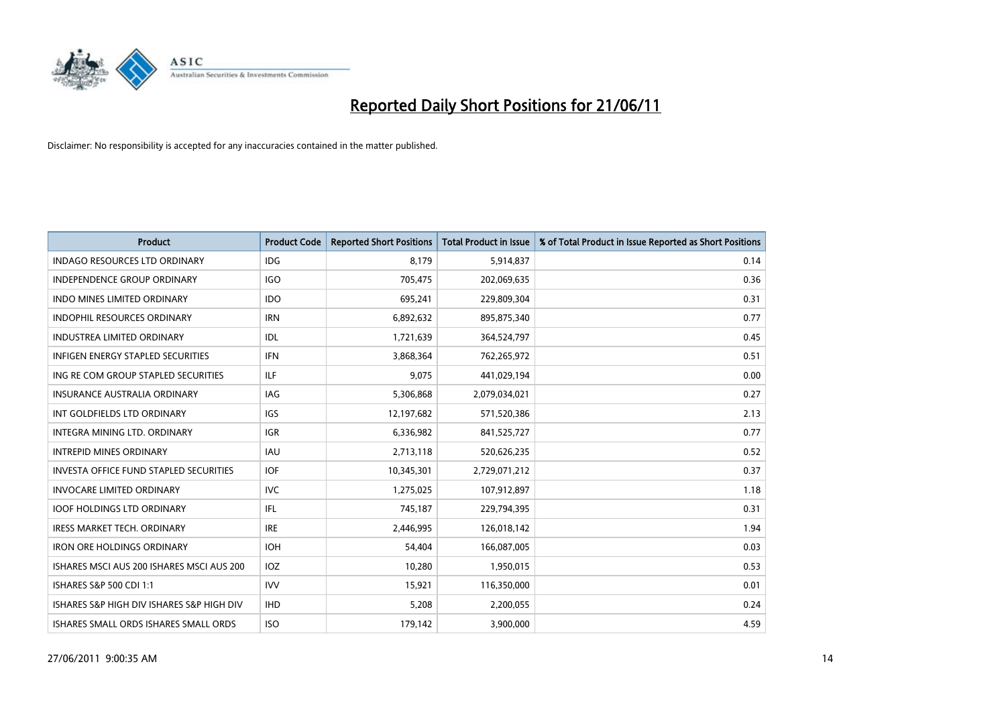

| <b>Product</b>                                | <b>Product Code</b> | <b>Reported Short Positions</b> | Total Product in Issue | % of Total Product in Issue Reported as Short Positions |
|-----------------------------------------------|---------------------|---------------------------------|------------------------|---------------------------------------------------------|
| <b>INDAGO RESOURCES LTD ORDINARY</b>          | <b>IDG</b>          | 8,179                           | 5,914,837              | 0.14                                                    |
| INDEPENDENCE GROUP ORDINARY                   | <b>IGO</b>          | 705,475                         | 202,069,635            | 0.36                                                    |
| <b>INDO MINES LIMITED ORDINARY</b>            | <b>IDO</b>          | 695,241                         | 229,809,304            | 0.31                                                    |
| INDOPHIL RESOURCES ORDINARY                   | <b>IRN</b>          | 6,892,632                       | 895,875,340            | 0.77                                                    |
| <b>INDUSTREA LIMITED ORDINARY</b>             | IDL                 | 1,721,639                       | 364,524,797            | 0.45                                                    |
| <b>INFIGEN ENERGY STAPLED SECURITIES</b>      | <b>IFN</b>          | 3,868,364                       | 762,265,972            | 0.51                                                    |
| ING RE COM GROUP STAPLED SECURITIES           | ILF                 | 9,075                           | 441,029,194            | 0.00                                                    |
| INSURANCE AUSTRALIA ORDINARY                  | <b>IAG</b>          | 5,306,868                       | 2,079,034,021          | 0.27                                                    |
| INT GOLDFIELDS LTD ORDINARY                   | <b>IGS</b>          | 12,197,682                      | 571,520,386            | 2.13                                                    |
| INTEGRA MINING LTD. ORDINARY                  | <b>IGR</b>          | 6,336,982                       | 841,525,727            | 0.77                                                    |
| <b>INTREPID MINES ORDINARY</b>                | <b>IAU</b>          | 2,713,118                       | 520,626,235            | 0.52                                                    |
| <b>INVESTA OFFICE FUND STAPLED SECURITIES</b> | <b>IOF</b>          | 10,345,301                      | 2,729,071,212          | 0.37                                                    |
| <b>INVOCARE LIMITED ORDINARY</b>              | <b>IVC</b>          | 1,275,025                       | 107,912,897            | 1.18                                                    |
| <b>IOOF HOLDINGS LTD ORDINARY</b>             | <b>IFL</b>          | 745,187                         | 229,794,395            | 0.31                                                    |
| <b>IRESS MARKET TECH. ORDINARY</b>            | <b>IRE</b>          | 2,446,995                       | 126,018,142            | 1.94                                                    |
| <b>IRON ORE HOLDINGS ORDINARY</b>             | <b>IOH</b>          | 54,404                          | 166,087,005            | 0.03                                                    |
| ISHARES MSCI AUS 200 ISHARES MSCI AUS 200     | IOZ                 | 10,280                          | 1,950,015              | 0.53                                                    |
| ISHARES S&P 500 CDI 1:1                       | <b>IVV</b>          | 15,921                          | 116,350,000            | 0.01                                                    |
| ISHARES S&P HIGH DIV ISHARES S&P HIGH DIV     | <b>IHD</b>          | 5,208                           | 2,200,055              | 0.24                                                    |
| ISHARES SMALL ORDS ISHARES SMALL ORDS         | <b>ISO</b>          | 179,142                         | 3,900,000              | 4.59                                                    |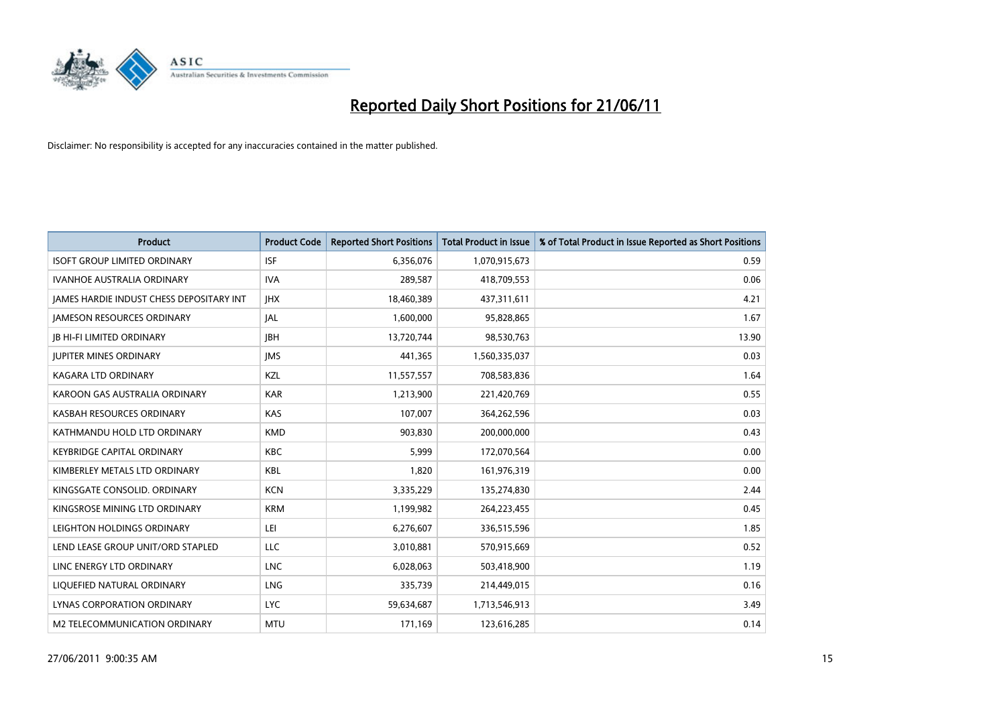

| <b>Product</b>                           | <b>Product Code</b> | <b>Reported Short Positions</b> | <b>Total Product in Issue</b> | % of Total Product in Issue Reported as Short Positions |
|------------------------------------------|---------------------|---------------------------------|-------------------------------|---------------------------------------------------------|
| <b>ISOFT GROUP LIMITED ORDINARY</b>      | <b>ISF</b>          | 6,356,076                       | 1,070,915,673                 | 0.59                                                    |
| IVANHOE AUSTRALIA ORDINARY               | <b>IVA</b>          | 289,587                         | 418,709,553                   | 0.06                                                    |
| JAMES HARDIE INDUST CHESS DEPOSITARY INT | <b>IHX</b>          | 18,460,389                      | 437,311,611                   | 4.21                                                    |
| <b>JAMESON RESOURCES ORDINARY</b>        | <b>JAL</b>          | 1,600,000                       | 95,828,865                    | 1.67                                                    |
| <b>JB HI-FI LIMITED ORDINARY</b>         | <b>IBH</b>          | 13,720,744                      | 98,530,763                    | 13.90                                                   |
| <b>JUPITER MINES ORDINARY</b>            | <b>IMS</b>          | 441,365                         | 1,560,335,037                 | 0.03                                                    |
| <b>KAGARA LTD ORDINARY</b>               | KZL                 | 11,557,557                      | 708,583,836                   | 1.64                                                    |
| KAROON GAS AUSTRALIA ORDINARY            | <b>KAR</b>          | 1,213,900                       | 221,420,769                   | 0.55                                                    |
| KASBAH RESOURCES ORDINARY                | KAS                 | 107,007                         | 364,262,596                   | 0.03                                                    |
| KATHMANDU HOLD LTD ORDINARY              | <b>KMD</b>          | 903,830                         | 200,000,000                   | 0.43                                                    |
| <b>KEYBRIDGE CAPITAL ORDINARY</b>        | <b>KBC</b>          | 5,999                           | 172,070,564                   | 0.00                                                    |
| KIMBERLEY METALS LTD ORDINARY            | <b>KBL</b>          | 1,820                           | 161,976,319                   | 0.00                                                    |
| KINGSGATE CONSOLID. ORDINARY             | <b>KCN</b>          | 3,335,229                       | 135,274,830                   | 2.44                                                    |
| KINGSROSE MINING LTD ORDINARY            | <b>KRM</b>          | 1,199,982                       | 264,223,455                   | 0.45                                                    |
| LEIGHTON HOLDINGS ORDINARY               | LEI                 | 6,276,607                       | 336,515,596                   | 1.85                                                    |
| LEND LEASE GROUP UNIT/ORD STAPLED        | LLC                 | 3,010,881                       | 570,915,669                   | 0.52                                                    |
| LINC ENERGY LTD ORDINARY                 | <b>LNC</b>          | 6,028,063                       | 503,418,900                   | 1.19                                                    |
| LIQUEFIED NATURAL ORDINARY               | LNG                 | 335,739                         | 214,449,015                   | 0.16                                                    |
| LYNAS CORPORATION ORDINARY               | <b>LYC</b>          | 59,634,687                      | 1,713,546,913                 | 3.49                                                    |
| M2 TELECOMMUNICATION ORDINARY            | <b>MTU</b>          | 171,169                         | 123,616,285                   | 0.14                                                    |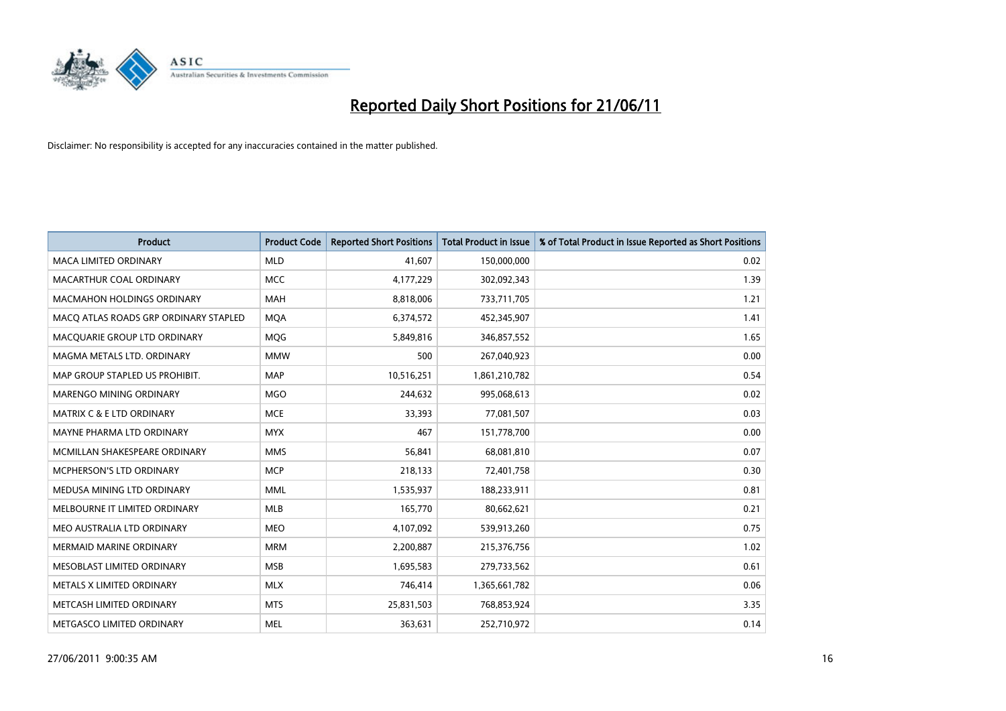

| <b>Product</b>                        | <b>Product Code</b> | <b>Reported Short Positions</b> | Total Product in Issue | % of Total Product in Issue Reported as Short Positions |
|---------------------------------------|---------------------|---------------------------------|------------------------|---------------------------------------------------------|
| <b>MACA LIMITED ORDINARY</b>          | <b>MLD</b>          | 41,607                          | 150,000,000            | 0.02                                                    |
| MACARTHUR COAL ORDINARY               | <b>MCC</b>          | 4,177,229                       | 302,092,343            | 1.39                                                    |
| <b>MACMAHON HOLDINGS ORDINARY</b>     | <b>MAH</b>          | 8,818,006                       | 733,711,705            | 1.21                                                    |
| MACQ ATLAS ROADS GRP ORDINARY STAPLED | <b>MOA</b>          | 6,374,572                       | 452,345,907            | 1.41                                                    |
| MACQUARIE GROUP LTD ORDINARY          | MQG                 | 5,849,816                       | 346,857,552            | 1.65                                                    |
| MAGMA METALS LTD. ORDINARY            | <b>MMW</b>          | 500                             | 267,040,923            | 0.00                                                    |
| MAP GROUP STAPLED US PROHIBIT.        | <b>MAP</b>          | 10,516,251                      | 1,861,210,782          | 0.54                                                    |
| MARENGO MINING ORDINARY               | <b>MGO</b>          | 244,632                         | 995,068,613            | 0.02                                                    |
| <b>MATRIX C &amp; E LTD ORDINARY</b>  | <b>MCE</b>          | 33,393                          | 77,081,507             | 0.03                                                    |
| MAYNE PHARMA LTD ORDINARY             | <b>MYX</b>          | 467                             | 151,778,700            | 0.00                                                    |
| MCMILLAN SHAKESPEARE ORDINARY         | <b>MMS</b>          | 56,841                          | 68,081,810             | 0.07                                                    |
| MCPHERSON'S LTD ORDINARY              | <b>MCP</b>          | 218,133                         | 72,401,758             | 0.30                                                    |
| MEDUSA MINING LTD ORDINARY            | <b>MML</b>          | 1,535,937                       | 188,233,911            | 0.81                                                    |
| MELBOURNE IT LIMITED ORDINARY         | MLB                 | 165,770                         | 80,662,621             | 0.21                                                    |
| MEO AUSTRALIA LTD ORDINARY            | <b>MEO</b>          | 4,107,092                       | 539,913,260            | 0.75                                                    |
| <b>MERMAID MARINE ORDINARY</b>        | <b>MRM</b>          | 2,200,887                       | 215,376,756            | 1.02                                                    |
| MESOBLAST LIMITED ORDINARY            | <b>MSB</b>          | 1,695,583                       | 279,733,562            | 0.61                                                    |
| METALS X LIMITED ORDINARY             | <b>MLX</b>          | 746,414                         | 1,365,661,782          | 0.06                                                    |
| METCASH LIMITED ORDINARY              | <b>MTS</b>          | 25,831,503                      | 768,853,924            | 3.35                                                    |
| METGASCO LIMITED ORDINARY             | <b>MEL</b>          | 363,631                         | 252,710,972            | 0.14                                                    |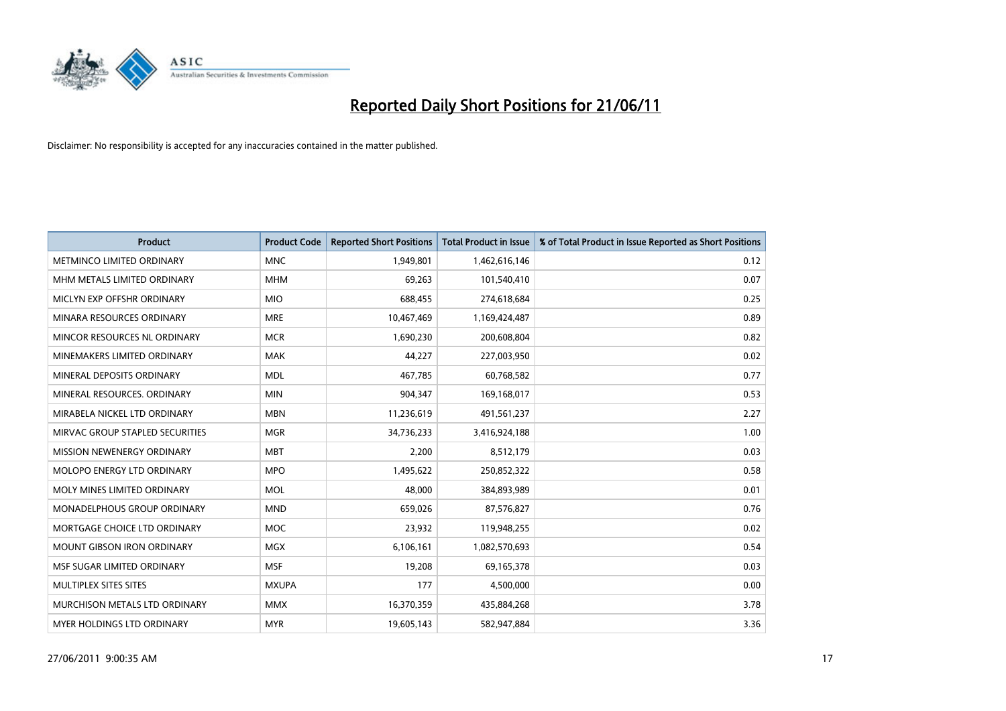

| <b>Product</b>                    | <b>Product Code</b> | <b>Reported Short Positions</b> | <b>Total Product in Issue</b> | % of Total Product in Issue Reported as Short Positions |
|-----------------------------------|---------------------|---------------------------------|-------------------------------|---------------------------------------------------------|
| METMINCO LIMITED ORDINARY         | <b>MNC</b>          | 1,949,801                       | 1,462,616,146                 | 0.12                                                    |
| MHM METALS LIMITED ORDINARY       | <b>MHM</b>          | 69,263                          | 101,540,410                   | 0.07                                                    |
| MICLYN EXP OFFSHR ORDINARY        | <b>MIO</b>          | 688,455                         | 274,618,684                   | 0.25                                                    |
| MINARA RESOURCES ORDINARY         | <b>MRE</b>          | 10,467,469                      | 1,169,424,487                 | 0.89                                                    |
| MINCOR RESOURCES NL ORDINARY      | <b>MCR</b>          | 1,690,230                       | 200,608,804                   | 0.82                                                    |
| MINEMAKERS LIMITED ORDINARY       | <b>MAK</b>          | 44,227                          | 227,003,950                   | 0.02                                                    |
| MINERAL DEPOSITS ORDINARY         | <b>MDL</b>          | 467,785                         | 60,768,582                    | 0.77                                                    |
| MINERAL RESOURCES. ORDINARY       | <b>MIN</b>          | 904,347                         | 169,168,017                   | 0.53                                                    |
| MIRABELA NICKEL LTD ORDINARY      | <b>MBN</b>          | 11,236,619                      | 491,561,237                   | 2.27                                                    |
| MIRVAC GROUP STAPLED SECURITIES   | <b>MGR</b>          | 34,736,233                      | 3,416,924,188                 | 1.00                                                    |
| MISSION NEWENERGY ORDINARY        | <b>MBT</b>          | 2,200                           | 8,512,179                     | 0.03                                                    |
| MOLOPO ENERGY LTD ORDINARY        | <b>MPO</b>          | 1,495,622                       | 250,852,322                   | 0.58                                                    |
| MOLY MINES LIMITED ORDINARY       | <b>MOL</b>          | 48,000                          | 384,893,989                   | 0.01                                                    |
| MONADELPHOUS GROUP ORDINARY       | <b>MND</b>          | 659,026                         | 87,576,827                    | 0.76                                                    |
| MORTGAGE CHOICE LTD ORDINARY      | <b>MOC</b>          | 23,932                          | 119,948,255                   | 0.02                                                    |
| MOUNT GIBSON IRON ORDINARY        | <b>MGX</b>          | 6,106,161                       | 1,082,570,693                 | 0.54                                                    |
| MSF SUGAR LIMITED ORDINARY        | <b>MSF</b>          | 19,208                          | 69,165,378                    | 0.03                                                    |
| MULTIPLEX SITES SITES             | <b>MXUPA</b>        | 177                             | 4,500,000                     | 0.00                                                    |
| MURCHISON METALS LTD ORDINARY     | <b>MMX</b>          | 16,370,359                      | 435,884,268                   | 3.78                                                    |
| <b>MYER HOLDINGS LTD ORDINARY</b> | <b>MYR</b>          | 19,605,143                      | 582,947,884                   | 3.36                                                    |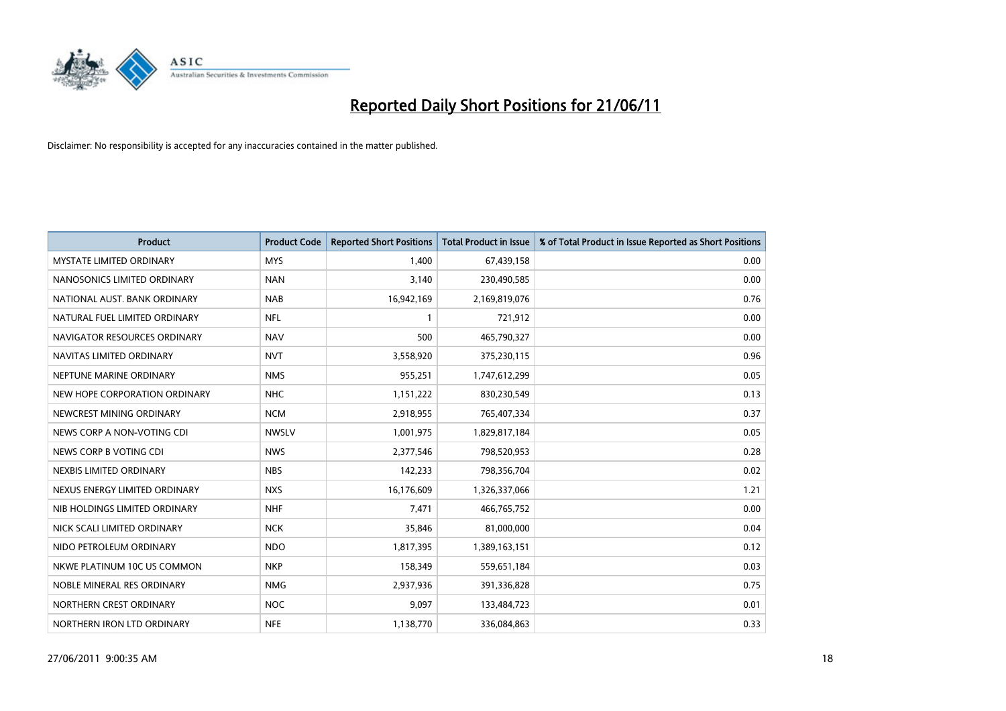

| <b>Product</b>                  | <b>Product Code</b> | <b>Reported Short Positions</b> | Total Product in Issue | % of Total Product in Issue Reported as Short Positions |
|---------------------------------|---------------------|---------------------------------|------------------------|---------------------------------------------------------|
| <b>MYSTATE LIMITED ORDINARY</b> | <b>MYS</b>          | 1,400                           | 67,439,158             | 0.00                                                    |
| NANOSONICS LIMITED ORDINARY     | <b>NAN</b>          | 3,140                           | 230,490,585            | 0.00                                                    |
| NATIONAL AUST. BANK ORDINARY    | <b>NAB</b>          | 16,942,169                      | 2,169,819,076          | 0.76                                                    |
| NATURAL FUEL LIMITED ORDINARY   | <b>NFL</b>          |                                 | 721,912                | 0.00                                                    |
| NAVIGATOR RESOURCES ORDINARY    | <b>NAV</b>          | 500                             | 465,790,327            | 0.00                                                    |
| NAVITAS LIMITED ORDINARY        | <b>NVT</b>          | 3,558,920                       | 375,230,115            | 0.96                                                    |
| NEPTUNE MARINE ORDINARY         | <b>NMS</b>          | 955,251                         | 1,747,612,299          | 0.05                                                    |
| NEW HOPE CORPORATION ORDINARY   | <b>NHC</b>          | 1,151,222                       | 830,230,549            | 0.13                                                    |
| NEWCREST MINING ORDINARY        | <b>NCM</b>          | 2,918,955                       | 765,407,334            | 0.37                                                    |
| NEWS CORP A NON-VOTING CDI      | <b>NWSLV</b>        | 1,001,975                       | 1,829,817,184          | 0.05                                                    |
| NEWS CORP B VOTING CDI          | <b>NWS</b>          | 2,377,546                       | 798,520,953            | 0.28                                                    |
| NEXBIS LIMITED ORDINARY         | <b>NBS</b>          | 142,233                         | 798,356,704            | 0.02                                                    |
| NEXUS ENERGY LIMITED ORDINARY   | <b>NXS</b>          | 16,176,609                      | 1,326,337,066          | 1.21                                                    |
| NIB HOLDINGS LIMITED ORDINARY   | <b>NHF</b>          | 7,471                           | 466,765,752            | 0.00                                                    |
| NICK SCALI LIMITED ORDINARY     | <b>NCK</b>          | 35,846                          | 81,000,000             | 0.04                                                    |
| NIDO PETROLEUM ORDINARY         | <b>NDO</b>          | 1,817,395                       | 1,389,163,151          | 0.12                                                    |
| NKWE PLATINUM 10C US COMMON     | <b>NKP</b>          | 158,349                         | 559,651,184            | 0.03                                                    |
| NOBLE MINERAL RES ORDINARY      | <b>NMG</b>          | 2,937,936                       | 391,336,828            | 0.75                                                    |
| NORTHERN CREST ORDINARY         | <b>NOC</b>          | 9,097                           | 133,484,723            | 0.01                                                    |
| NORTHERN IRON LTD ORDINARY      | <b>NFE</b>          | 1,138,770                       | 336,084,863            | 0.33                                                    |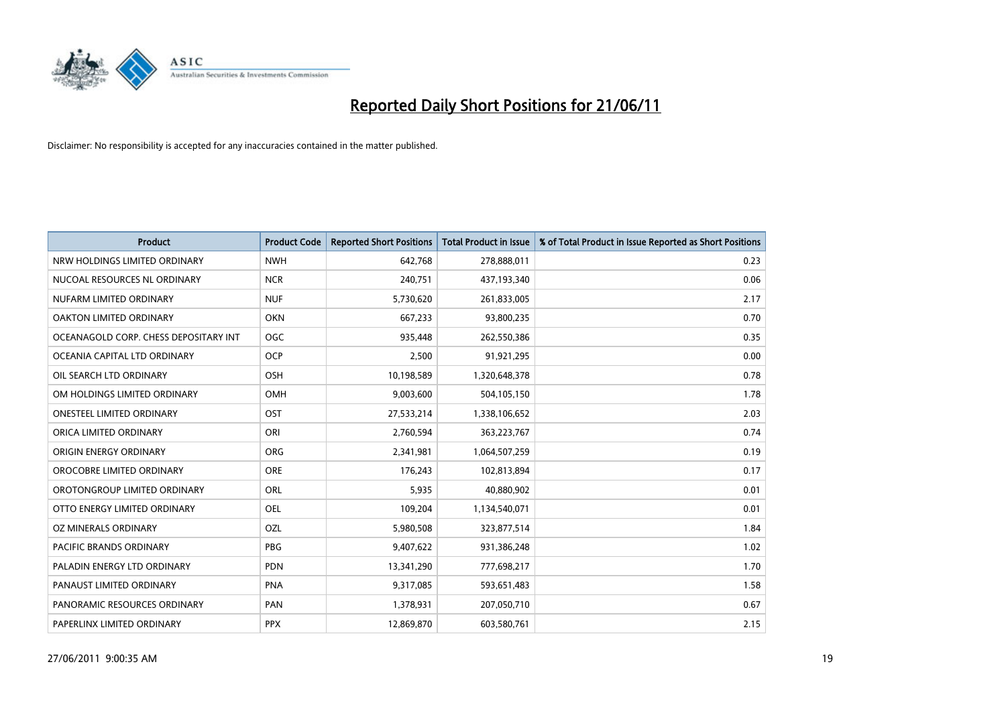

| <b>Product</b>                        | <b>Product Code</b> | <b>Reported Short Positions</b> | <b>Total Product in Issue</b> | % of Total Product in Issue Reported as Short Positions |
|---------------------------------------|---------------------|---------------------------------|-------------------------------|---------------------------------------------------------|
| NRW HOLDINGS LIMITED ORDINARY         | <b>NWH</b>          | 642,768                         | 278,888,011                   | 0.23                                                    |
| NUCOAL RESOURCES NL ORDINARY          | <b>NCR</b>          | 240,751                         | 437,193,340                   | 0.06                                                    |
| NUFARM LIMITED ORDINARY               | <b>NUF</b>          | 5,730,620                       | 261,833,005                   | 2.17                                                    |
| OAKTON LIMITED ORDINARY               | OKN                 | 667,233                         | 93,800,235                    | 0.70                                                    |
| OCEANAGOLD CORP. CHESS DEPOSITARY INT | <b>OGC</b>          | 935,448                         | 262,550,386                   | 0.35                                                    |
| OCEANIA CAPITAL LTD ORDINARY          | <b>OCP</b>          | 2,500                           | 91,921,295                    | 0.00                                                    |
| OIL SEARCH LTD ORDINARY               | OSH                 | 10,198,589                      | 1,320,648,378                 | 0.78                                                    |
| OM HOLDINGS LIMITED ORDINARY          | <b>OMH</b>          | 9,003,600                       | 504,105,150                   | 1.78                                                    |
| <b>ONESTEEL LIMITED ORDINARY</b>      | OST                 | 27,533,214                      | 1,338,106,652                 | 2.03                                                    |
| ORICA LIMITED ORDINARY                | ORI                 | 2,760,594                       | 363,223,767                   | 0.74                                                    |
| ORIGIN ENERGY ORDINARY                | <b>ORG</b>          | 2,341,981                       | 1,064,507,259                 | 0.19                                                    |
| OROCOBRE LIMITED ORDINARY             | <b>ORE</b>          | 176,243                         | 102,813,894                   | 0.17                                                    |
| OROTONGROUP LIMITED ORDINARY          | <b>ORL</b>          | 5,935                           | 40,880,902                    | 0.01                                                    |
| OTTO ENERGY LIMITED ORDINARY          | <b>OEL</b>          | 109,204                         | 1,134,540,071                 | 0.01                                                    |
| OZ MINERALS ORDINARY                  | OZL                 | 5,980,508                       | 323,877,514                   | 1.84                                                    |
| PACIFIC BRANDS ORDINARY               | <b>PBG</b>          | 9,407,622                       | 931,386,248                   | 1.02                                                    |
| PALADIN ENERGY LTD ORDINARY           | <b>PDN</b>          | 13,341,290                      | 777,698,217                   | 1.70                                                    |
| PANAUST LIMITED ORDINARY              | <b>PNA</b>          | 9,317,085                       | 593,651,483                   | 1.58                                                    |
| PANORAMIC RESOURCES ORDINARY          | PAN                 | 1,378,931                       | 207,050,710                   | 0.67                                                    |
| PAPERLINX LIMITED ORDINARY            | <b>PPX</b>          | 12,869,870                      | 603,580,761                   | 2.15                                                    |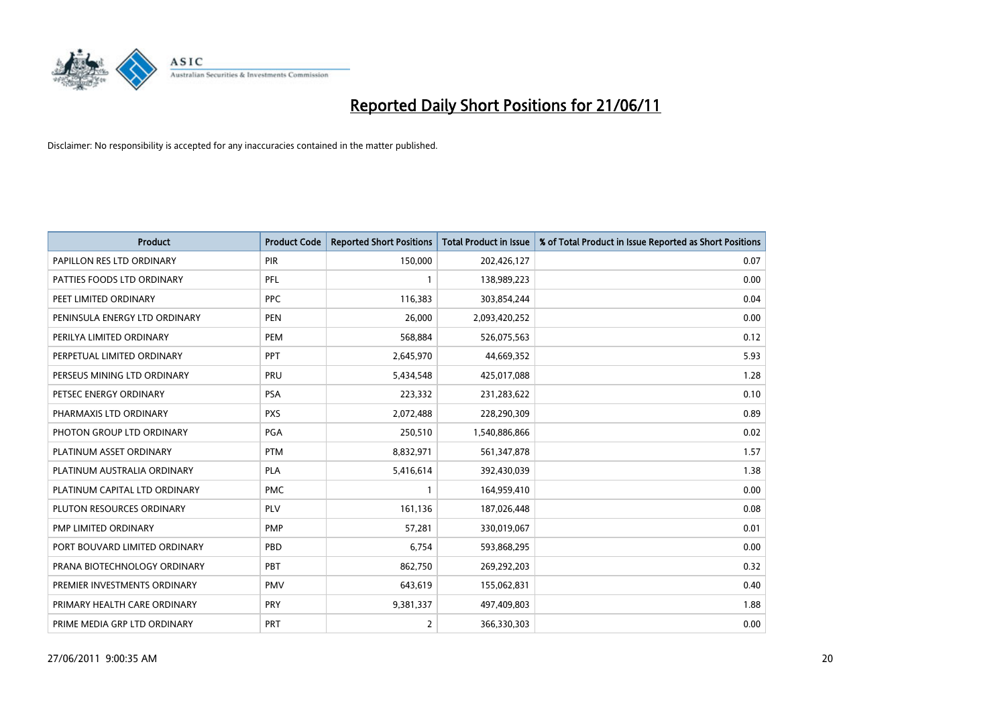

| <b>Product</b>                | <b>Product Code</b> | <b>Reported Short Positions</b> | Total Product in Issue | % of Total Product in Issue Reported as Short Positions |
|-------------------------------|---------------------|---------------------------------|------------------------|---------------------------------------------------------|
| PAPILLON RES LTD ORDINARY     | PIR                 | 150,000                         | 202,426,127            | 0.07                                                    |
| PATTIES FOODS LTD ORDINARY    | PFL                 |                                 | 138,989,223            | 0.00                                                    |
| PEET LIMITED ORDINARY         | <b>PPC</b>          | 116,383                         | 303,854,244            | 0.04                                                    |
| PENINSULA ENERGY LTD ORDINARY | <b>PEN</b>          | 26,000                          | 2,093,420,252          | 0.00                                                    |
| PERILYA LIMITED ORDINARY      | PEM                 | 568,884                         | 526,075,563            | 0.12                                                    |
| PERPETUAL LIMITED ORDINARY    | PPT                 | 2,645,970                       | 44,669,352             | 5.93                                                    |
| PERSEUS MINING LTD ORDINARY   | PRU                 | 5,434,548                       | 425,017,088            | 1.28                                                    |
| PETSEC ENERGY ORDINARY        | <b>PSA</b>          | 223,332                         | 231,283,622            | 0.10                                                    |
| PHARMAXIS LTD ORDINARY        | <b>PXS</b>          | 2,072,488                       | 228,290,309            | 0.89                                                    |
| PHOTON GROUP LTD ORDINARY     | <b>PGA</b>          | 250,510                         | 1,540,886,866          | 0.02                                                    |
| PLATINUM ASSET ORDINARY       | <b>PTM</b>          | 8,832,971                       | 561,347,878            | 1.57                                                    |
| PLATINUM AUSTRALIA ORDINARY   | <b>PLA</b>          | 5,416,614                       | 392,430,039            | 1.38                                                    |
| PLATINUM CAPITAL LTD ORDINARY | <b>PMC</b>          |                                 | 164,959,410            | 0.00                                                    |
| PLUTON RESOURCES ORDINARY     | <b>PLV</b>          | 161,136                         | 187,026,448            | 0.08                                                    |
| PMP LIMITED ORDINARY          | PMP                 | 57,281                          | 330,019,067            | 0.01                                                    |
| PORT BOUVARD LIMITED ORDINARY | PBD                 | 6,754                           | 593,868,295            | 0.00                                                    |
| PRANA BIOTECHNOLOGY ORDINARY  | PBT                 | 862,750                         | 269,292,203            | 0.32                                                    |
| PREMIER INVESTMENTS ORDINARY  | <b>PMV</b>          | 643,619                         | 155,062,831            | 0.40                                                    |
| PRIMARY HEALTH CARE ORDINARY  | <b>PRY</b>          | 9,381,337                       | 497,409,803            | 1.88                                                    |
| PRIME MEDIA GRP LTD ORDINARY  | PRT                 | 2                               | 366,330,303            | 0.00                                                    |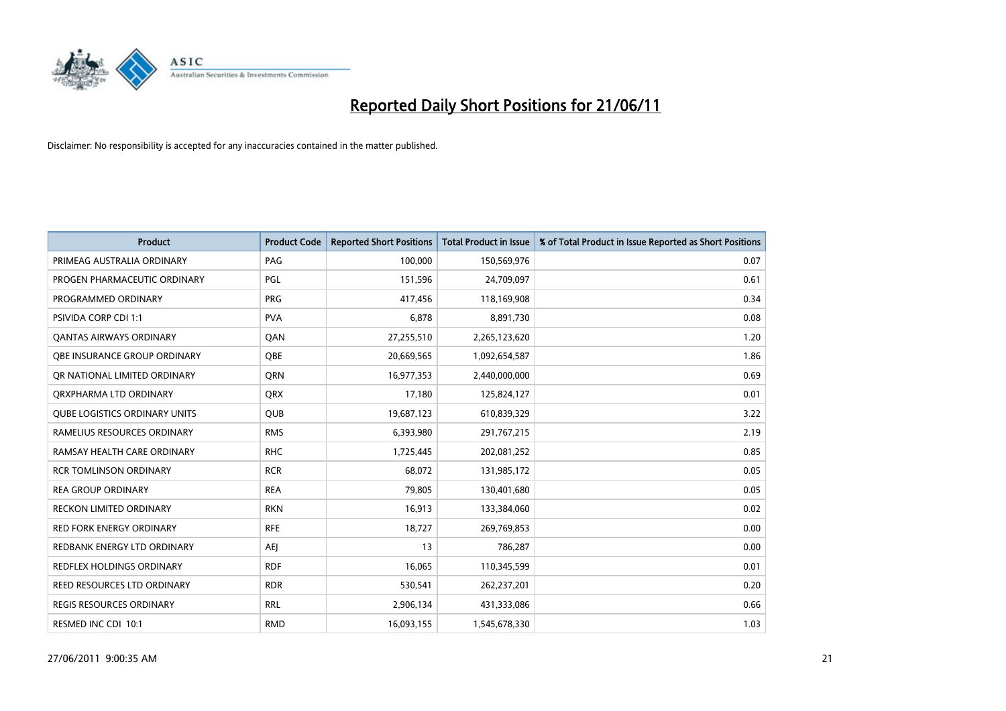

| <b>Product</b>                       | <b>Product Code</b> | <b>Reported Short Positions</b> | Total Product in Issue | % of Total Product in Issue Reported as Short Positions |
|--------------------------------------|---------------------|---------------------------------|------------------------|---------------------------------------------------------|
| PRIMEAG AUSTRALIA ORDINARY           | PAG                 | 100,000                         | 150,569,976            | 0.07                                                    |
| PROGEN PHARMACEUTIC ORDINARY         | PGL                 | 151,596                         | 24,709,097             | 0.61                                                    |
| PROGRAMMED ORDINARY                  | <b>PRG</b>          | 417,456                         | 118,169,908            | 0.34                                                    |
| PSIVIDA CORP CDI 1:1                 | <b>PVA</b>          | 6,878                           | 8,891,730              | 0.08                                                    |
| <b>QANTAS AIRWAYS ORDINARY</b>       | QAN                 | 27,255,510                      | 2,265,123,620          | 1.20                                                    |
| OBE INSURANCE GROUP ORDINARY         | <b>OBE</b>          | 20,669,565                      | 1,092,654,587          | 1.86                                                    |
| OR NATIONAL LIMITED ORDINARY         | <b>ORN</b>          | 16,977,353                      | 2,440,000,000          | 0.69                                                    |
| ORXPHARMA LTD ORDINARY               | <b>ORX</b>          | 17,180                          | 125,824,127            | 0.01                                                    |
| <b>QUBE LOGISTICS ORDINARY UNITS</b> | <b>QUB</b>          | 19,687,123                      | 610,839,329            | 3.22                                                    |
| RAMELIUS RESOURCES ORDINARY          | <b>RMS</b>          | 6,393,980                       | 291,767,215            | 2.19                                                    |
| RAMSAY HEALTH CARE ORDINARY          | <b>RHC</b>          | 1,725,445                       | 202,081,252            | 0.85                                                    |
| <b>RCR TOMLINSON ORDINARY</b>        | <b>RCR</b>          | 68,072                          | 131,985,172            | 0.05                                                    |
| <b>REA GROUP ORDINARY</b>            | <b>REA</b>          | 79,805                          | 130,401,680            | 0.05                                                    |
| <b>RECKON LIMITED ORDINARY</b>       | <b>RKN</b>          | 16,913                          | 133,384,060            | 0.02                                                    |
| <b>RED FORK ENERGY ORDINARY</b>      | <b>RFE</b>          | 18,727                          | 269,769,853            | 0.00                                                    |
| REDBANK ENERGY LTD ORDINARY          | <b>AEI</b>          | 13                              | 786,287                | 0.00                                                    |
| REDFLEX HOLDINGS ORDINARY            | <b>RDF</b>          | 16,065                          | 110,345,599            | 0.01                                                    |
| REED RESOURCES LTD ORDINARY          | <b>RDR</b>          | 530,541                         | 262,237,201            | 0.20                                                    |
| <b>REGIS RESOURCES ORDINARY</b>      | <b>RRL</b>          | 2,906,134                       | 431,333,086            | 0.66                                                    |
| RESMED INC CDI 10:1                  | <b>RMD</b>          | 16,093,155                      | 1,545,678,330          | 1.03                                                    |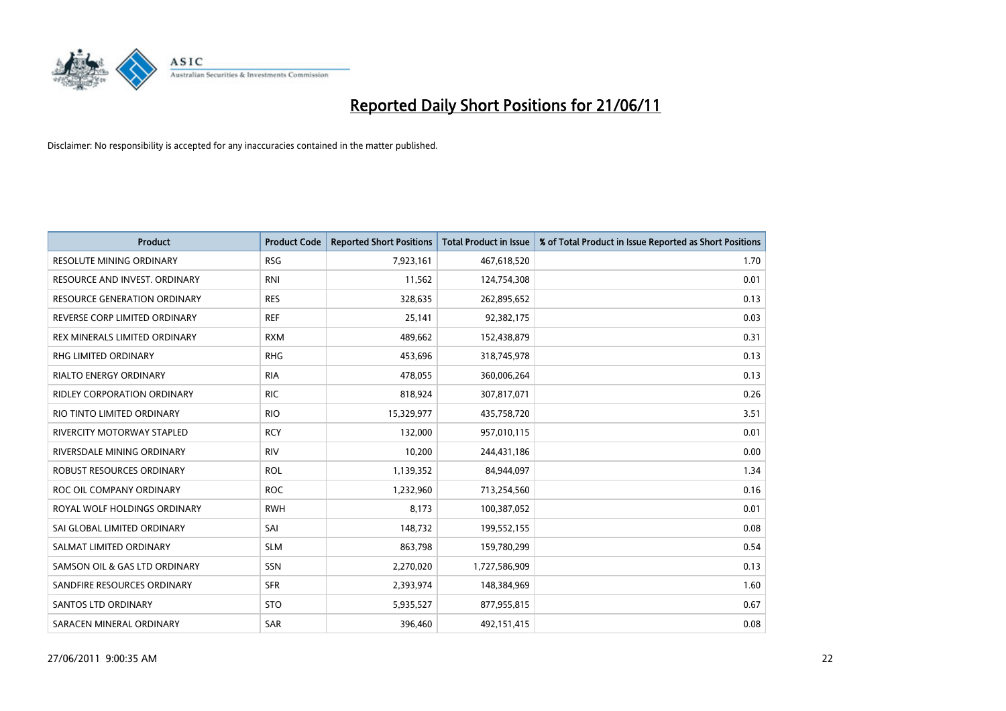

| Product                             | <b>Product Code</b> | <b>Reported Short Positions</b> | <b>Total Product in Issue</b> | % of Total Product in Issue Reported as Short Positions |
|-------------------------------------|---------------------|---------------------------------|-------------------------------|---------------------------------------------------------|
| <b>RESOLUTE MINING ORDINARY</b>     | <b>RSG</b>          | 7,923,161                       | 467,618,520                   | 1.70                                                    |
| RESOURCE AND INVEST. ORDINARY       | <b>RNI</b>          | 11,562                          | 124,754,308                   | 0.01                                                    |
| <b>RESOURCE GENERATION ORDINARY</b> | <b>RES</b>          | 328,635                         | 262,895,652                   | 0.13                                                    |
| REVERSE CORP LIMITED ORDINARY       | <b>REF</b>          | 25,141                          | 92,382,175                    | 0.03                                                    |
| REX MINERALS LIMITED ORDINARY       | <b>RXM</b>          | 489,662                         | 152,438,879                   | 0.31                                                    |
| <b>RHG LIMITED ORDINARY</b>         | <b>RHG</b>          | 453,696                         | 318,745,978                   | 0.13                                                    |
| <b>RIALTO ENERGY ORDINARY</b>       | <b>RIA</b>          | 478,055                         | 360,006,264                   | 0.13                                                    |
| RIDLEY CORPORATION ORDINARY         | <b>RIC</b>          | 818,924                         | 307,817,071                   | 0.26                                                    |
| RIO TINTO LIMITED ORDINARY          | <b>RIO</b>          | 15,329,977                      | 435,758,720                   | 3.51                                                    |
| RIVERCITY MOTORWAY STAPLED          | <b>RCY</b>          | 132,000                         | 957,010,115                   | 0.01                                                    |
| RIVERSDALE MINING ORDINARY          | <b>RIV</b>          | 10,200                          | 244,431,186                   | 0.00                                                    |
| ROBUST RESOURCES ORDINARY           | <b>ROL</b>          | 1,139,352                       | 84,944,097                    | 1.34                                                    |
| ROC OIL COMPANY ORDINARY            | <b>ROC</b>          | 1,232,960                       | 713,254,560                   | 0.16                                                    |
| ROYAL WOLF HOLDINGS ORDINARY        | <b>RWH</b>          | 8,173                           | 100,387,052                   | 0.01                                                    |
| SAI GLOBAL LIMITED ORDINARY         | SAI                 | 148,732                         | 199,552,155                   | 0.08                                                    |
| SALMAT LIMITED ORDINARY             | <b>SLM</b>          | 863,798                         | 159,780,299                   | 0.54                                                    |
| SAMSON OIL & GAS LTD ORDINARY       | SSN                 | 2,270,020                       | 1,727,586,909                 | 0.13                                                    |
| SANDFIRE RESOURCES ORDINARY         | <b>SFR</b>          | 2,393,974                       | 148,384,969                   | 1.60                                                    |
| <b>SANTOS LTD ORDINARY</b>          | <b>STO</b>          | 5,935,527                       | 877,955,815                   | 0.67                                                    |
| SARACEN MINERAL ORDINARY            | <b>SAR</b>          | 396,460                         | 492,151,415                   | 0.08                                                    |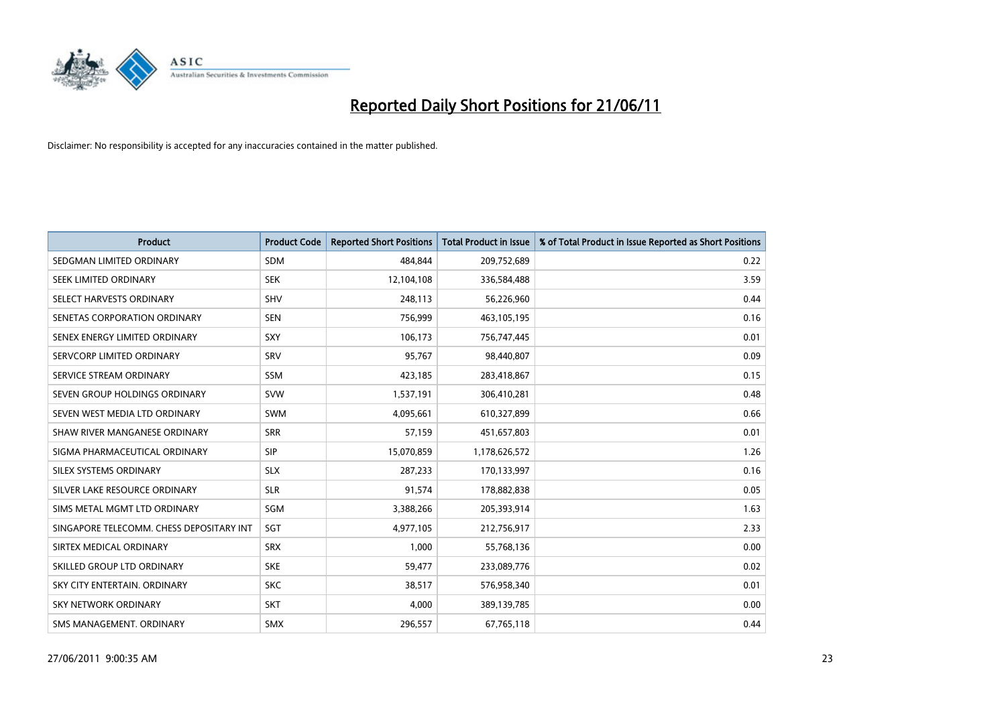

| <b>Product</b>                           | <b>Product Code</b> | <b>Reported Short Positions</b> | <b>Total Product in Issue</b> | % of Total Product in Issue Reported as Short Positions |
|------------------------------------------|---------------------|---------------------------------|-------------------------------|---------------------------------------------------------|
| SEDGMAN LIMITED ORDINARY                 | <b>SDM</b>          | 484,844                         | 209,752,689                   | 0.22                                                    |
| SEEK LIMITED ORDINARY                    | <b>SEK</b>          | 12,104,108                      | 336,584,488                   | 3.59                                                    |
| SELECT HARVESTS ORDINARY                 | SHV                 | 248,113                         | 56,226,960                    | 0.44                                                    |
| SENETAS CORPORATION ORDINARY             | <b>SEN</b>          | 756,999                         | 463,105,195                   | 0.16                                                    |
| SENEX ENERGY LIMITED ORDINARY            | <b>SXY</b>          | 106,173                         | 756,747,445                   | 0.01                                                    |
| SERVCORP LIMITED ORDINARY                | SRV                 | 95,767                          | 98,440,807                    | 0.09                                                    |
| SERVICE STREAM ORDINARY                  | <b>SSM</b>          | 423,185                         | 283,418,867                   | 0.15                                                    |
| SEVEN GROUP HOLDINGS ORDINARY            | <b>SVW</b>          | 1,537,191                       | 306,410,281                   | 0.48                                                    |
| SEVEN WEST MEDIA LTD ORDINARY            | <b>SWM</b>          | 4,095,661                       | 610,327,899                   | 0.66                                                    |
| SHAW RIVER MANGANESE ORDINARY            | <b>SRR</b>          | 57,159                          | 451,657,803                   | 0.01                                                    |
| SIGMA PHARMACEUTICAL ORDINARY            | <b>SIP</b>          | 15,070,859                      | 1,178,626,572                 | 1.26                                                    |
| SILEX SYSTEMS ORDINARY                   | <b>SLX</b>          | 287,233                         | 170,133,997                   | 0.16                                                    |
| SILVER LAKE RESOURCE ORDINARY            | <b>SLR</b>          | 91,574                          | 178,882,838                   | 0.05                                                    |
| SIMS METAL MGMT LTD ORDINARY             | SGM                 | 3,388,266                       | 205,393,914                   | 1.63                                                    |
| SINGAPORE TELECOMM. CHESS DEPOSITARY INT | SGT                 | 4,977,105                       | 212,756,917                   | 2.33                                                    |
| SIRTEX MEDICAL ORDINARY                  | <b>SRX</b>          | 1,000                           | 55,768,136                    | 0.00                                                    |
| SKILLED GROUP LTD ORDINARY               | <b>SKE</b>          | 59,477                          | 233,089,776                   | 0.02                                                    |
| SKY CITY ENTERTAIN. ORDINARY             | <b>SKC</b>          | 38,517                          | 576,958,340                   | 0.01                                                    |
| SKY NETWORK ORDINARY                     | <b>SKT</b>          | 4,000                           | 389,139,785                   | 0.00                                                    |
| SMS MANAGEMENT. ORDINARY                 | <b>SMX</b>          | 296,557                         | 67,765,118                    | 0.44                                                    |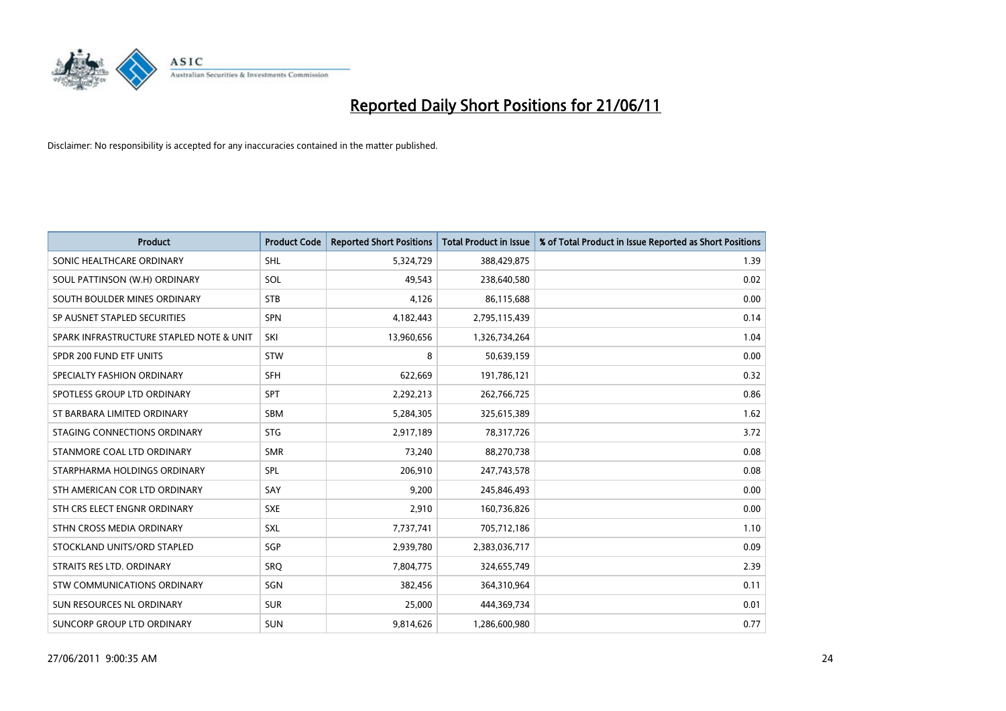

| <b>Product</b>                           | <b>Product Code</b> | <b>Reported Short Positions</b> | <b>Total Product in Issue</b> | % of Total Product in Issue Reported as Short Positions |
|------------------------------------------|---------------------|---------------------------------|-------------------------------|---------------------------------------------------------|
| SONIC HEALTHCARE ORDINARY                | <b>SHL</b>          | 5,324,729                       | 388,429,875                   | 1.39                                                    |
| SOUL PATTINSON (W.H) ORDINARY            | SOL                 | 49,543                          | 238,640,580                   | 0.02                                                    |
| SOUTH BOULDER MINES ORDINARY             | <b>STB</b>          | 4,126                           | 86,115,688                    | 0.00                                                    |
| SP AUSNET STAPLED SECURITIES             | SPN                 | 4,182,443                       | 2,795,115,439                 | 0.14                                                    |
| SPARK INFRASTRUCTURE STAPLED NOTE & UNIT | SKI                 | 13,960,656                      | 1,326,734,264                 | 1.04                                                    |
| SPDR 200 FUND ETF UNITS                  | <b>STW</b>          | 8                               | 50,639,159                    | 0.00                                                    |
| SPECIALTY FASHION ORDINARY               | SFH                 | 622,669                         | 191,786,121                   | 0.32                                                    |
| SPOTLESS GROUP LTD ORDINARY              | SPT                 | 2,292,213                       | 262,766,725                   | 0.86                                                    |
| ST BARBARA LIMITED ORDINARY              | SBM                 | 5,284,305                       | 325,615,389                   | 1.62                                                    |
| STAGING CONNECTIONS ORDINARY             | <b>STG</b>          | 2,917,189                       | 78,317,726                    | 3.72                                                    |
| STANMORE COAL LTD ORDINARY               | <b>SMR</b>          | 73,240                          | 88,270,738                    | 0.08                                                    |
| STARPHARMA HOLDINGS ORDINARY             | SPL                 | 206,910                         | 247,743,578                   | 0.08                                                    |
| STH AMERICAN COR LTD ORDINARY            | SAY                 | 9,200                           | 245,846,493                   | 0.00                                                    |
| STH CRS ELECT ENGNR ORDINARY             | <b>SXE</b>          | 2,910                           | 160,736,826                   | 0.00                                                    |
| STHN CROSS MEDIA ORDINARY                | <b>SXL</b>          | 7,737,741                       | 705,712,186                   | 1.10                                                    |
| STOCKLAND UNITS/ORD STAPLED              | SGP                 | 2,939,780                       | 2,383,036,717                 | 0.09                                                    |
| STRAITS RES LTD. ORDINARY                | <b>SRQ</b>          | 7,804,775                       | 324,655,749                   | 2.39                                                    |
| <b>STW COMMUNICATIONS ORDINARY</b>       | SGN                 | 382,456                         | 364,310,964                   | 0.11                                                    |
| SUN RESOURCES NL ORDINARY                | <b>SUR</b>          | 25,000                          | 444,369,734                   | 0.01                                                    |
| SUNCORP GROUP LTD ORDINARY               | <b>SUN</b>          | 9,814,626                       | 1,286,600,980                 | 0.77                                                    |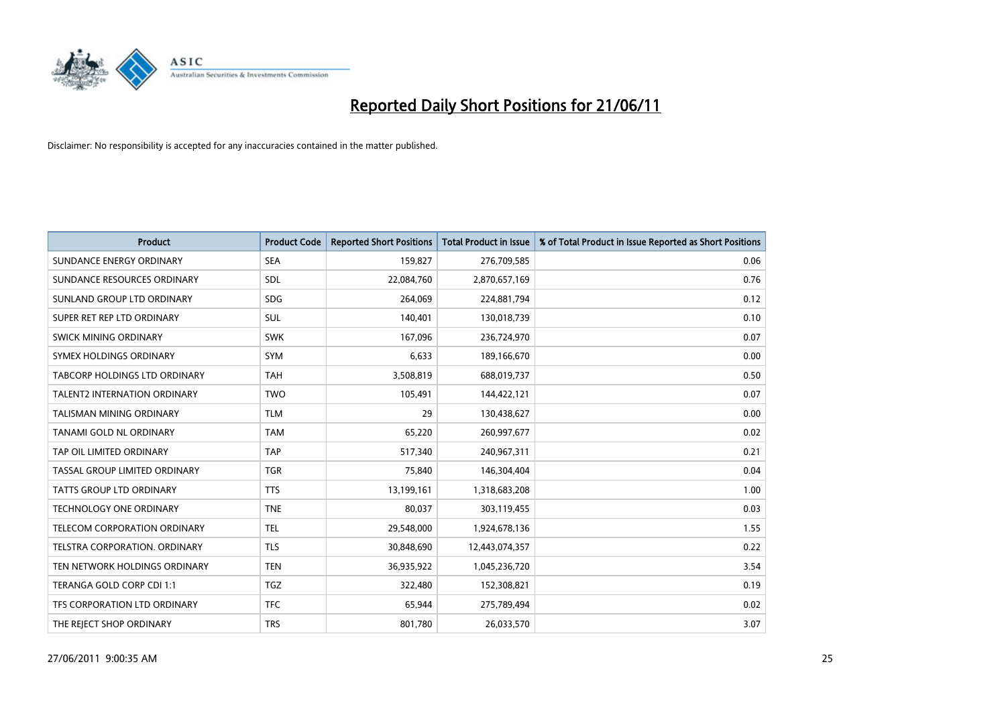

| <b>Product</b>                      | <b>Product Code</b> | <b>Reported Short Positions</b> | <b>Total Product in Issue</b> | % of Total Product in Issue Reported as Short Positions |
|-------------------------------------|---------------------|---------------------------------|-------------------------------|---------------------------------------------------------|
| SUNDANCE ENERGY ORDINARY            | <b>SEA</b>          | 159,827                         | 276,709,585                   | 0.06                                                    |
| SUNDANCE RESOURCES ORDINARY         | <b>SDL</b>          | 22,084,760                      | 2,870,657,169                 | 0.76                                                    |
| SUNLAND GROUP LTD ORDINARY          | <b>SDG</b>          | 264,069                         | 224,881,794                   | 0.12                                                    |
| SUPER RET REP LTD ORDINARY          | <b>SUL</b>          | 140,401                         | 130,018,739                   | 0.10                                                    |
| <b>SWICK MINING ORDINARY</b>        | <b>SWK</b>          | 167,096                         | 236,724,970                   | 0.07                                                    |
| SYMEX HOLDINGS ORDINARY             | <b>SYM</b>          | 6,633                           | 189,166,670                   | 0.00                                                    |
| TABCORP HOLDINGS LTD ORDINARY       | <b>TAH</b>          | 3,508,819                       | 688,019,737                   | 0.50                                                    |
| <b>TALENT2 INTERNATION ORDINARY</b> | <b>TWO</b>          | 105,491                         | 144,422,121                   | 0.07                                                    |
| <b>TALISMAN MINING ORDINARY</b>     | <b>TLM</b>          | 29                              | 130,438,627                   | 0.00                                                    |
| TANAMI GOLD NL ORDINARY             | <b>TAM</b>          | 65,220                          | 260,997,677                   | 0.02                                                    |
| TAP OIL LIMITED ORDINARY            | <b>TAP</b>          | 517,340                         | 240,967,311                   | 0.21                                                    |
| TASSAL GROUP LIMITED ORDINARY       | <b>TGR</b>          | 75,840                          | 146,304,404                   | 0.04                                                    |
| TATTS GROUP LTD ORDINARY            | <b>TTS</b>          | 13,199,161                      | 1,318,683,208                 | 1.00                                                    |
| TECHNOLOGY ONE ORDINARY             | <b>TNE</b>          | 80,037                          | 303,119,455                   | 0.03                                                    |
| TELECOM CORPORATION ORDINARY        | <b>TEL</b>          | 29,548,000                      | 1,924,678,136                 | 1.55                                                    |
| TELSTRA CORPORATION. ORDINARY       | <b>TLS</b>          | 30,848,690                      | 12,443,074,357                | 0.22                                                    |
| TEN NETWORK HOLDINGS ORDINARY       | <b>TEN</b>          | 36,935,922                      | 1,045,236,720                 | 3.54                                                    |
| TERANGA GOLD CORP CDI 1:1           | <b>TGZ</b>          | 322,480                         | 152,308,821                   | 0.19                                                    |
| TFS CORPORATION LTD ORDINARY        | <b>TFC</b>          | 65,944                          | 275,789,494                   | 0.02                                                    |
| THE REJECT SHOP ORDINARY            | <b>TRS</b>          | 801,780                         | 26,033,570                    | 3.07                                                    |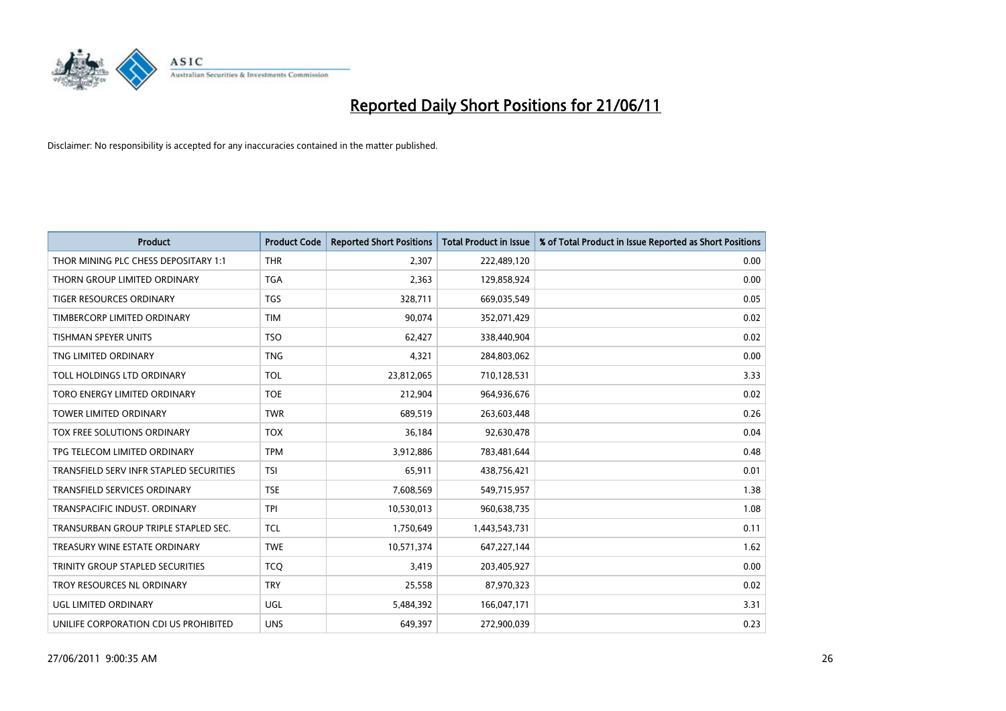

| <b>Product</b>                          | <b>Product Code</b> | <b>Reported Short Positions</b> | <b>Total Product in Issue</b> | % of Total Product in Issue Reported as Short Positions |
|-----------------------------------------|---------------------|---------------------------------|-------------------------------|---------------------------------------------------------|
| THOR MINING PLC CHESS DEPOSITARY 1:1    | <b>THR</b>          | 2,307                           | 222,489,120                   | 0.00                                                    |
| THORN GROUP LIMITED ORDINARY            | <b>TGA</b>          | 2,363                           | 129,858,924                   | 0.00                                                    |
| <b>TIGER RESOURCES ORDINARY</b>         | <b>TGS</b>          | 328,711                         | 669,035,549                   | 0.05                                                    |
| TIMBERCORP LIMITED ORDINARY             | <b>TIM</b>          | 90,074                          | 352,071,429                   | 0.02                                                    |
| <b>TISHMAN SPEYER UNITS</b>             | <b>TSO</b>          | 62,427                          | 338,440,904                   | 0.02                                                    |
| TNG LIMITED ORDINARY                    | <b>TNG</b>          | 4,321                           | 284,803,062                   | 0.00                                                    |
| TOLL HOLDINGS LTD ORDINARY              | <b>TOL</b>          | 23,812,065                      | 710,128,531                   | 3.33                                                    |
| TORO ENERGY LIMITED ORDINARY            | <b>TOE</b>          | 212,904                         | 964,936,676                   | 0.02                                                    |
| <b>TOWER LIMITED ORDINARY</b>           | <b>TWR</b>          | 689,519                         | 263,603,448                   | 0.26                                                    |
| <b>TOX FREE SOLUTIONS ORDINARY</b>      | <b>TOX</b>          | 36,184                          | 92,630,478                    | 0.04                                                    |
| TPG TELECOM LIMITED ORDINARY            | <b>TPM</b>          | 3,912,886                       | 783,481,644                   | 0.48                                                    |
| TRANSFIELD SERV INFR STAPLED SECURITIES | <b>TSI</b>          | 65,911                          | 438,756,421                   | 0.01                                                    |
| TRANSFIELD SERVICES ORDINARY            | <b>TSE</b>          | 7,608,569                       | 549,715,957                   | 1.38                                                    |
| TRANSPACIFIC INDUST, ORDINARY           | <b>TPI</b>          | 10,530,013                      | 960,638,735                   | 1.08                                                    |
| TRANSURBAN GROUP TRIPLE STAPLED SEC.    | <b>TCL</b>          | 1,750,649                       | 1,443,543,731                 | 0.11                                                    |
| TREASURY WINE ESTATE ORDINARY           | <b>TWE</b>          | 10,571,374                      | 647,227,144                   | 1.62                                                    |
| TRINITY GROUP STAPLED SECURITIES        | <b>TCQ</b>          | 3,419                           | 203,405,927                   | 0.00                                                    |
| TROY RESOURCES NL ORDINARY              | <b>TRY</b>          | 25,558                          | 87,970,323                    | 0.02                                                    |
| <b>UGL LIMITED ORDINARY</b>             | UGL                 | 5,484,392                       | 166,047,171                   | 3.31                                                    |
| UNILIFE CORPORATION CDI US PROHIBITED   | <b>UNS</b>          | 649,397                         | 272,900,039                   | 0.23                                                    |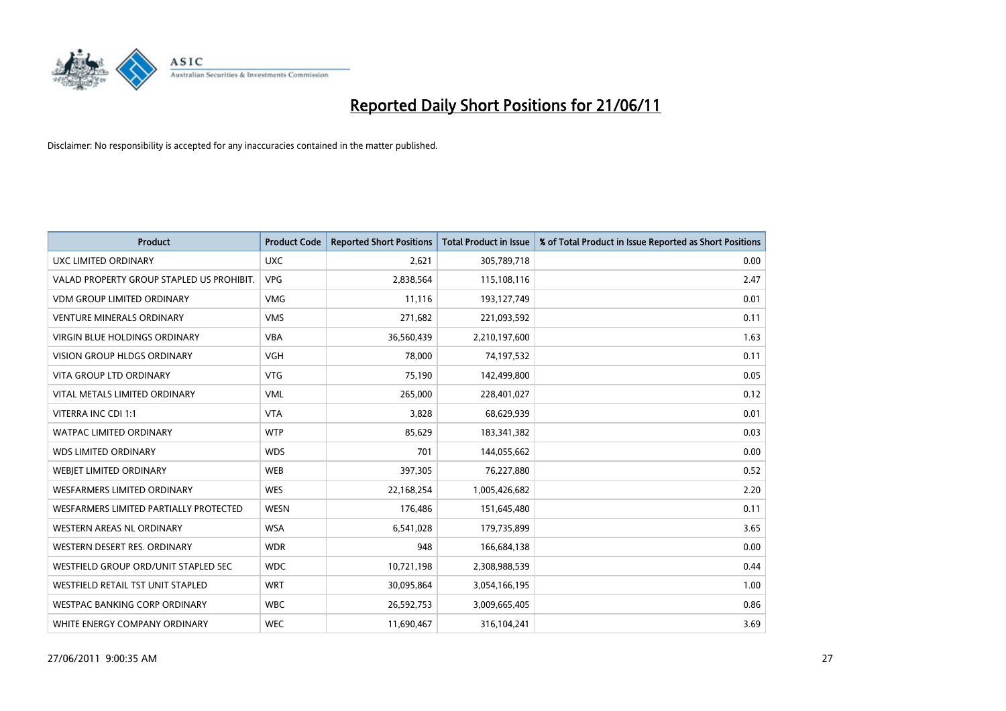

| <b>Product</b>                            | <b>Product Code</b> | <b>Reported Short Positions</b> | Total Product in Issue | % of Total Product in Issue Reported as Short Positions |
|-------------------------------------------|---------------------|---------------------------------|------------------------|---------------------------------------------------------|
| <b>UXC LIMITED ORDINARY</b>               | <b>UXC</b>          | 2,621                           | 305,789,718            | 0.00                                                    |
| VALAD PROPERTY GROUP STAPLED US PROHIBIT. | <b>VPG</b>          | 2,838,564                       | 115,108,116            | 2.47                                                    |
| <b>VDM GROUP LIMITED ORDINARY</b>         | <b>VMG</b>          | 11,116                          | 193,127,749            | 0.01                                                    |
| <b>VENTURE MINERALS ORDINARY</b>          | <b>VMS</b>          | 271,682                         | 221,093,592            | 0.11                                                    |
| <b>VIRGIN BLUE HOLDINGS ORDINARY</b>      | <b>VBA</b>          | 36,560,439                      | 2,210,197,600          | 1.63                                                    |
| <b>VISION GROUP HLDGS ORDINARY</b>        | <b>VGH</b>          | 78,000                          | 74,197,532             | 0.11                                                    |
| <b>VITA GROUP LTD ORDINARY</b>            | <b>VTG</b>          | 75,190                          | 142,499,800            | 0.05                                                    |
| VITAL METALS LIMITED ORDINARY             | <b>VML</b>          | 265,000                         | 228,401,027            | 0.12                                                    |
| VITERRA INC CDI 1:1                       | <b>VTA</b>          | 3,828                           | 68,629,939             | 0.01                                                    |
| <b>WATPAC LIMITED ORDINARY</b>            | <b>WTP</b>          | 85,629                          | 183,341,382            | 0.03                                                    |
| <b>WDS LIMITED ORDINARY</b>               | <b>WDS</b>          | 701                             | 144,055,662            | 0.00                                                    |
| WEBIET LIMITED ORDINARY                   | <b>WEB</b>          | 397,305                         | 76,227,880             | 0.52                                                    |
| <b>WESFARMERS LIMITED ORDINARY</b>        | <b>WES</b>          | 22,168,254                      | 1,005,426,682          | 2.20                                                    |
| WESFARMERS LIMITED PARTIALLY PROTECTED    | <b>WESN</b>         | 176,486                         | 151,645,480            | 0.11                                                    |
| WESTERN AREAS NL ORDINARY                 | <b>WSA</b>          | 6,541,028                       | 179,735,899            | 3.65                                                    |
| WESTERN DESERT RES. ORDINARY              | <b>WDR</b>          | 948                             | 166,684,138            | 0.00                                                    |
| WESTFIELD GROUP ORD/UNIT STAPLED SEC      | <b>WDC</b>          | 10,721,198                      | 2,308,988,539          | 0.44                                                    |
| WESTFIELD RETAIL TST UNIT STAPLED         | <b>WRT</b>          | 30,095,864                      | 3,054,166,195          | 1.00                                                    |
| <b>WESTPAC BANKING CORP ORDINARY</b>      | <b>WBC</b>          | 26,592,753                      | 3,009,665,405          | 0.86                                                    |
| WHITE ENERGY COMPANY ORDINARY             | <b>WEC</b>          | 11,690,467                      | 316,104,241            | 3.69                                                    |